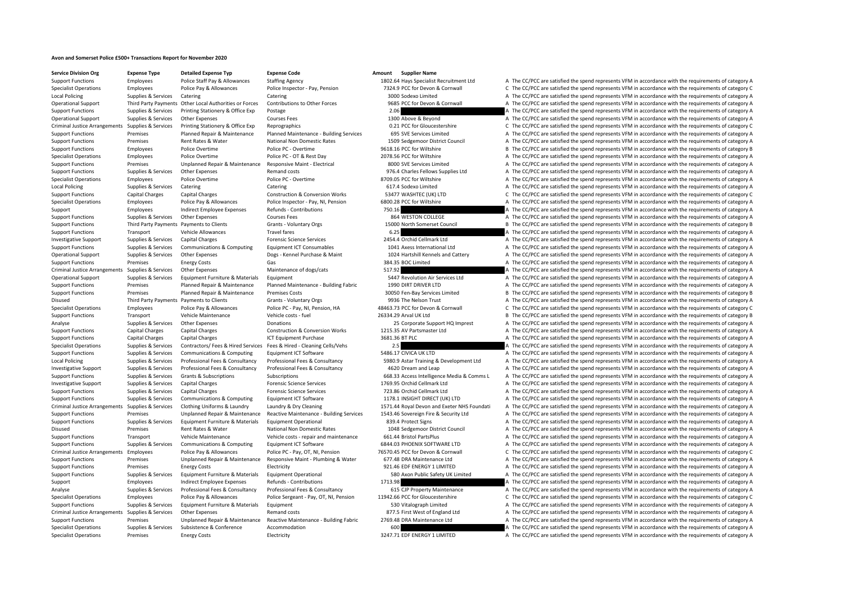## **Avon and Somerset Police £500+ Transactions Report for November 2020**

**Service Division Org Expense Type Detailed Expense Typ Expense Code Amount Supplier Name**

Support Functions Employees Police Staff Pay & Allowances Staffing Agency 1802.64 Hays Specialist Recruitment Ltd A The CC/PCC are satisfied the spend represents VFM in accordance with the requirements of category A Specialist Operations Employees Police Pay & Allowances Police Inspector - Pay, Pension 7324.9 PCC for Devon & Cornwall C The CC/PCC are satisfied the spend represents VFM in accordance with the requirements of category C Local Policing Supplies Supplies & Services Catering Catering Catering Catering Catering Catering Catering Catering Catering Supplies and a Supplied A The CC/PCC are satisfied the spend represents VFM in accordance with th Operational Support Third Party Payments Other Local Authorities or Forces Contributions to Other Forces 9685 PCC for Devon & Contrall Current A The CC/PCC are satisfied the spend represents VFM in accordance with the requ Support Functions Supplies & Services Printing Stationery & Office Exp Postage Printing Stationery & Office Exp Postage 2.06 A The CC/PCC are satisfied the spend represents VFM in accordance with the requirements of catego Operational Support Supplies & Services Other Expenses Courses Fees Courses Fees 1300 Above & Beyond A The CC/PCC are satisfied the spend represents VFM in accordance with the requirements of category A Criminal Justice Arrangements Supplies & Services Printing Stationery & Office Exp Reprographics exp Reprographics contact D.21 PCC for Gloucestershire C The CC/PCC are satisfied the spend represents VFM in accordance with Support Functions Premises Planned Repair & Maintenance Planned Maintenance - Building Services 695 SVE Services Limited A The CC/PCC are satisfied the spend represents VFM in accordance with the requirements of category A Support Functions Premises Rent Rates Rent Rates National Non Domestic Rates 1509 Sedgemoor District Council A The CC/PCC are satisfied the spend represents VFM in accordance with the requirements of category A Support Functions Employees Police Overtime Police PC - Overtime Police PC - Overtime 9618.16 PCC for Wiltshire B The CC/PCC are satisfied the spend represents VFM in accordance with the requirements of category B Specialist Operations Employees Police Overtime Police PC - OT & Rest Day 2078.56 PCC for Wiltshire A The CC/PCC are satisfied the spend represents VFM in accordance with the requirements of category A Support Functions Premises Unplanned Repair & Maintenance Responsive Maint - Electrical 8000 SVE Services Limited A The CC/PCC are satisfied the spend represents VFM in accordance with the requirements of category A Support Functions Supplies & Services Other Expenses Remand costs 976.4 Charles Fellows Supplies Ltd A The CC/PCC are satisfied the spend represents VFM in accordance with the requirements of category A Specialist Operations Employees Police Overtime Police PC - Overtime Police PC - Overtime 8709.05 PCC for Wiltshire A The CC/PCC are satisfied the spend represents VFM in accordance with the requirements of category A Local Policing Supplies & Services Catering Catering Catering Catering Catering Catering Catering Catering Catering Catering Catering 617.4 Sodexo Limited A The CC/PCC are satisfied the spend represents VFM in accordance w Support Functions Capital Charges Capital Charges Construction & Conversion Works 53477 WASHTEC (UK) LTD C The CC/PCC are satisfied the spend represents VFM in accordance with the requirements of category C Specialist Operations Employees Police Pay & Allowances Police Inspector - Pay, NI, Pension 6800.28 PCC for Wiltshire A The CC/PCC are satisfied the spend represents VFM in accordance with the requirements of category A Support Employees Indirect Employee Expenses Refunds - Contributions 750.16 750.16 A The CC/PCC are satisfied the spend represents VFM in accordance with the requirements of category A Support Functions Supplies & Services Other Expenses Courses Fees 864 WESTON COLLEGE A The CC/PCC are satisfied the spend represents VFM in accordance with the requirements of category A Support Functions Third Party Payments Payments to Clients Grants - Voluntary Orgs 15000 North Somerset Council B The CC/PCC are satisfied the spend represents VFM in accordance with the requirements of category B Support Functions Transport Vehicle Allowances Travel fares Travel fares and the mate of category and the Support Travel fares and the CC/PCC are satisfied the spend represents VFM in accordance with the requirements of ca Investigative Support Supplies & Services Capital Charges Forensic Science Services Porensic Science Services 2454.4 Orchid Cellmark Ltd A The CC/PCC are satisfied the spend represents VFM in accordance with the requiremen Support Functions Supplies & Services Communications & Computing Equipment ICT Consumables 1041 Axess International Ltd A The CC/PCC are satisfied the spend represents VFM in accordance with the requirements of category A Operational Support Support Support Support Other Expenses Dogs - Kennel Purchase & Maint 1024 Hartshill Kennels and Cattery A The CC/PCC are satisfied the spend represents VFM in accordance with the requirements of catego Support Functions Premises Energy Costs Gas Gas Gas 384.35 BOC Limited A The CC/PCC are satisfied the spend represents VFM in accordance with the requirements of category A Criminal Justice Arrangements Supplies & Services Other Expenses Maintenance of dogs/cats 517.92 517.92 A The CC/PCC are satisfied the spend represents VFM in accordance with the requirements of category A Operational Support Supplies & Services Equipment Furniture & Materials Equipment 5447 Revolution Air Services Ltd A The CC/PCC are satisfied the spend represents VFM in accordance with the requirements of category A Support Functions Premises Planned Repair & Maintenance Planned Maintenance - Building Fabric 1990 DIRT DRIVER LTD A The CC/PCC are satisfied the spend represents VFM in accordance with the requirements of category A Support Functions Premises Planned Repair & Maintenance Premises Costs 30050 Fen‐Bay Services Limited B The CC/PCC are satisfied the spend represents VFM in accordance with the requirements of category B Disused Third Party Payments Payments to Clients Grants - Voluntary Orgs 9936 The Nelson Trust A The CC/PCC are satisfied the spend represents VFM in accordance with the requirements of category A Specialist Operations Employees Police Pay & Allowances Police PC - Pay, NI, Pension, HA 48463.73 PCC for Devon & Cornwall C The CC/PCC are satisfied the spend represents VFM in accordance with the requirements of category Support Functions Transport Vehicle Maintenance Vehicle costs - fuel 26334.29 Arval UK Ltd B The CC/PCC are satisfied the spend represents VFM in accordance with the requirements of category B Analyse Supplies & Services Other Expenses Donations Donations 25 Corporate Support HQ Imprest A The CC/PCC are satisfied the spend represents VFM in accordance with the requirements of category A Support Functions Capital Charges Capital Charges Construction & Conversion Works 1215.35 AV Partsmaster Ltd A The CC/PCC are satisfied the spend represents VFM in accordance with the requirements of category A Support Fun Support Functions Capital Charges Capital Charges ICT Equipment Purchase 3681.36 BT PLC A The CC/PCC are satisfied the spend represents VFM in accordance with the requirements of category A Specialist Operations Supplies & Services Contractors/ Fees & Hired Services Fees & Hired Services Fees & Hired Services Fees & Hired Services Cells/Vehs 2.5 A The CC/PCC are satisfied the spend represents VFM in accordanc Support Functions Supplies & Services Communications & Computing Equipment ICT Software 5486.17 CIVICA UK LTD A The CC/PCC are satisfied the spend represents VFM in accordance with the requirements of category A Local Policing Supplies & Services Professional Fees & Consultancy Professional Fees & Consultancy Professional Fees & Consultancy Professional Fees & Consultancy S980.9 Astar Training & Development Ltd A The CC/PCC are sa Investigative Support Supplies & Services Professional Fees & Consultancy Professional Fees & Consultancy Professional Fees & Consultancy Professional Fees & Consultancy Professional Fees & Consultancy 4620 Dream and Leap Support Functions Supplies & Services Grants & Subscriptions Subscriptions Subscriptions Subscriptions Subscriptions Subscriptions Subscriptions Subscriptions and the Subscriptions of category A The CC/PCC are satisfied th Investigative Support Supplies & Services Capital Charges Forensic Science Services 1769.95 Orchid Cellmark Ltd A The CC/PCC are satisfied the spend represents VFM in accordance with the requirements of category A Support Functions Supplies & Services Capital Charges Forensic Science Services Forensic Science Services 723.86 Orchid Cellmark Ltd A The CC/PCC are satisfied the spend represents VFM in accordance with the requirements o Support Functions Supplies & Services Communications & Computing Equipment ICT Software 1178.1 INSIGHT DIRECT (UK) LTD A The CC/PCC are satisfied the spend represents VFM in accordance with the requirements of category A Criminal Justice Arrangements Supplies & Services Clothing Uniforms & Laundry Laundry & Dry Cleaning 1571.44 Royal Devon and Exeter NHS Foundati A The CC/PCC are satisfied the spend represents VFM in accordance with the re Support Functions Premises Unplanned Repair & Maintenance Reactive Maintenance - Building Services 1543.46 Sovereign Fire & Security Ltd A The CC/PCC are satisfied the spend represents VFM in accordance with the requiremen Support Functions Supplies & Services Equipment Furniture & Materials Equipment Operational 839.4 Protect Signs A The CC/PCC are satisfied the spend represents VFM in accordance with the requirements of category A Disused Premises Rent Rates & Water National Non Domestic Rates 1048 Sedgemoor District Council A The CC/PCC are satisfied the spend represents VFM in accordance with the requirements of category A Support Functions Transport Vehicle Maintenance Vehicle costs - repair and maintenance 661.44 Bristol PartsPlus A The CC/PCC are satisfied the spend represents VFM in accordance with the requirements of category A Support Functions Supplies & Services Communications & Computing Equipment ICT Software 6844.03 PHOENIX SOFTWARE LTD A The CC/PCC are satisfied the spend represents VFM in accordance with the requirements of category A Criminal Justice Arrangements Employees Police Pay & Allowances Police PC - Pay, OT, NI, Pension 76570.45 PCC for Devon & Cornwall C The CC/PCC are satisfied the spend represents VFM in accordance with the requirements of Support Functions Premises Unplanned Repair & Maintenance Responsive Maint - Plumbing & Water 677.48 DRA Maintenance Ltd A The CC/PCC are satisfied the spend represents VFM in accordance with the requirements of category A Support Functions Premises Energy Costs Electricity Electricity 921.46 EDF ENERGY 1 LIMITED A The CC/PCC are satisfied the spend represents VFM in accordance with the requirements of category A Support Functions Supporters Supporters Services Equipment Furniture & Materials Equipment Operational SBO Axon Public Safety UK Limited A The CC/PCC are satisfied the spend represents VFM in accordance with the requiremen Support Employees Indirect Employee Expenses Refunds - Contributions 1713.98 A The CC/PCC are satisfied the spend represents VFM in accordance with the requirements of category A Analyse Supplies & Services Professional Fees & Consultancy Professional Fees & Consultancy Professional Fees & Consultancy A The CC/PCC are satisfied the spend represents VFM in accordance with the requirements of categor Specialist Operations Employees Police Pay & Allowances Police Sergeant - Pay, OT. NI. Pension 11942.66 PCC for Gloucestershire C The CC/PCC are satisfied the spend represents VFM in accordance with the requirements of cat Support Functions Supplies & Services Equipment Furniture & Materials Equipment Equipment Sample and the Service of category A The CC/PCC are satisfied the spend represents VFM in accordance with the requirements of catego Criminal Justice Arrangements Supplies & Services Other Expenses Building Remand costs Bemand costs 877.5 First West of England Ltd A The CC/PCC are satisfied the spend represents VFM in accordance with the requirements of Support Functions Premises Unplanned Repair & Maintenance Reactive Maintenance - Building Fabric 2769.48 DRA Maintenance Ltd A The CC/PCC are satisfied the spend represents VFM in accordance with the requirements of catego Specialist Operations Supplies & Services Subsistence & Conference Accommodation Accommodation and the Service Subsistence Accommodation 600 A The CC/PCC are satisfied the spend represents VFM in accordance with the requir Specialist Operations Premises Energy Costs Electricity Electricity and the Spend a The ENERGY 1 LIMITED A The CC/PCC are satisfied the spend represents VFM in accordance with the requirements of category A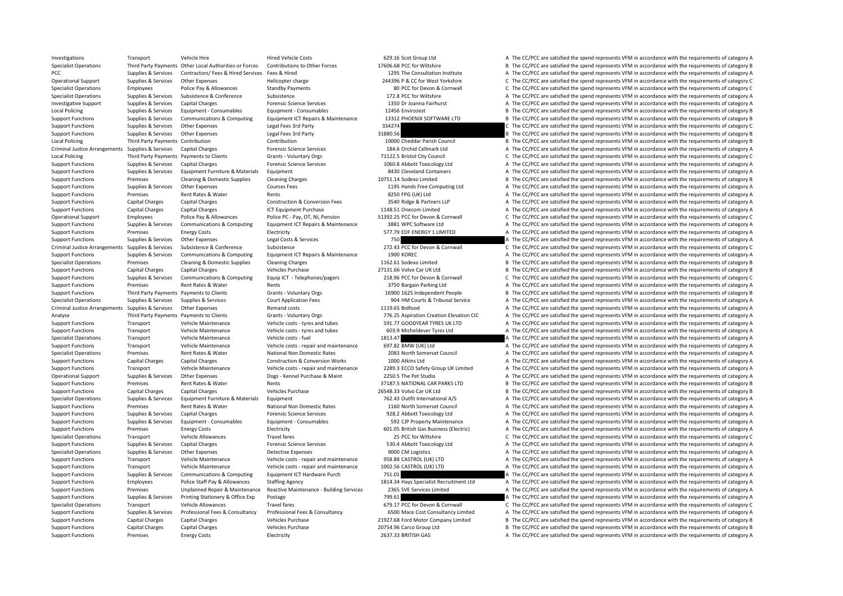Investigations Transport Vehicle Hire Hired Vehicle Costs 629.16 Scot Group Ltd A The CC/PCC are satisfied the spend represents VFM in accordance with the requirements of category A Specialist Operations Third Party Payments Other Local Authorities or Forces Contributions to Other Forces 17606.68 PCC for Wiltshire B The CC/PCC are satisfied the spend represents VFM in accordance with the requirements PCC Supplies & Services Contractors/ Fees & Hired Services Fees & Hired Hired The Services Fees & Hired 1295 The Consultation Institute A The CC/PCC are satisfied the spend represents VFM in accordance with the requirement Operational Support Supplies & Services Other Expenses Helicopter charge Helicopter charge 244396 P & CC for West Yorkshire C The CC/PCC are satisfied the spend represents VFM in accordance with the requirements of categor Specialist Operations Employees Police Pay & Allowances Standby Payments 80 PCC for Devon & Cornwall C The CC/PCC are satisfied the spend represents VFM in accordance with the requirements of category C Specialist Operations Supplies & Services Subsistence Subsistence Subsistence Subsistence Subsistence Subsistence 172.8 PCC for Wiltshire A The CC/PCC are satisfied the spend represents VFM in accordance with the requireme Investigative Support Support Support Capital Charges Capital Charges Forensic Science Services 1350 Dr Joanna Fairhurst A The CC/PCC are satisfied the spend represents VFM in accordance with the requirements of category A Local Policing Supplies & Services Equipment • Consumables Equipment • Consumables Equipment • Consumables 12456 Envirozest B The CC/PCC are satisfied the spend represents VFM in accordance with the requirements of categor Support Functions Supplies & Services Communications & Computing Equipment ICT Repairs & Maintenance 13312 PHOENIX SOFTWARE LTD B The CC/PCC are satisfied the spend represents VFM in accordance with the requirements of cat Support Functions Supplies & Services Other Expenses Legal Fees 3rd Party 334274 34274 C The CC/PCC are satisfied the spend represents VFM in accordance with the requirements of category C Support Functions Supplies & Services Other Expenses Legal Fees 3rd Party 31880.56 31880.56 B The CC/PCC are satisfied the spend represents VFM in accordance with the requirements of category B Contribution and Contributio Local Policing Third Party Payments Contribution Contribution Contribution Contribution Contribution Contribution Contribution 10000 Cheddar Parish Council B The CC/PCC are satisfied the spend represents VFM in accordance Criminal Justice Arrangements Supplies & Services Capital Charges Capital Charges Forensic Science Services 184.6 Orchid Cellmark Ltd A The CC/PCC are satisfied the spend represents VFM in accordance with the requirements Local Policing Third Party Payments Payments Payments of category C Grants - Voluntary Orgs 671122.5 Bristol City Council City Council C The CC/PCC are satisfied the spend represents VFM in accordance with the requirements Support Functions Supplies & Services Capital Charges Forensic Science Services 1060.8 Abbott Toxicology Ltd A The CC/PCC are satisfied the spend represents VFM in accordance with the requirements of category A Support Functions Supplies & Services Equipment Furniture & Materials Equipment and the Service and Containers A The CC/PCC are satisfied the spend represents VFM in accordance with the requirements of category A Support Functions Premises Cleaning & Domestic Supplies Cleaning Charges 10751.14 Sodexo Limited B The CC/PCC are satisfied the spend represents VFM in accordance with the requirements of category B Support Functions Supplies & Services Other Expenses Courses Fees 1195 Hands Free Computing Ltd A The CC/PCC are satisfied the spend represents VFM in accordance with the requirements of category A Support Functions Premises Rent Rates & Water Rents Rents Rents 8250 FPG (UK) Ltd A The CC/PCC are satisfied the spend represents VFM in accordance with the requirements of category A Support Functions Capital Charges Capital Charges Construction & Conversion Fees 3540 Ridge & Partners LLP A The CC/PCC are satisfied the spend represents VFM in accordance with the requirements of category A Support Functions Capital Charges Capital Charges ICT Equipment Purchase 1148.51 Onecom Limited A The CC/PCC are satisfied the spend represents VFM in accordance with the requirements of category A Operational Support Employees Police Pay & Allowances Police PC - Pay, OT, NI, Pension 51392.25 PCC for Devon & Cornwall C The CC/PCC are satisfied the spend represents VFM in accordance with the requirements of category C Support Functions Supplies & Services Communications & Computing Equipment ICT Repairs & Maintenance 3881 WPC Software Ltd A The CC/PCC are satisfied the spend represents VFM in accordance with the requirements of category Support Functions Premises Energy Costs Electricity Electricity Electricity 577.79 EDF ENERGY 1 LIMITED A The CC/PCC are satisfied the spend represents VFM in accordance with the requirements of category A Support Functions Supplies & Services Other Expenses Legal Costs & Services Legal Costs A The COST Costs Conformal A The CC/PCC are satisfied the spend represents VFM in accordance with the requirements of category A Crimi Criminal Justice Arrangements Supplies & Services Subsistence & Conference Subsistence Subsistence 272.43 PCC for Devon & Cornwall C The CC/PCC are satisfied the spend represents VFM in accordance with the requirements of Support Functions Supplies & Services Communications & Computing Equipment ICT Repairs & Maintenance 1900 KOREC A The CC/PCC are satisfied the spend represents VFM in accordance with the requirements of category A Specialist Operations Premises Cleaning & Domestic Supplies Cleaning Charges 1162.61 Sodexo Limited B The CC/PCC are satisfied the spend represents VFM in accordance with the requirements of category B Support Functions Capital Charges Capital Charges Vehicles Purchase Vehicles Purchase 27131.66 Volvo Car UK Ltd B The CC/PCC are satisfied the spend represents VFM in accordance with the requirements of category B Support Functions Supplies & Services Communications & Computing Equip ICT - Telephones/pagers 218.96 PCC for Devon & Cornwall C The CC/PCC are satisfied the spend represents VFM in accordance with the requirements of cate Support Functions Premises Rent Rates & Water Rents Rents Rents and A The CC/PCC are satisfied the spend represents VFM in accordance with the requirements of category A Support Functions Third Party Payments Payments Oclients Grants - Voluntary Orgs 16900 1625 Independent People B The CC/PCC are satisfied the spend represents VFM in accordance with the requirements of category B Specialist Operations Supplies & Services Supplies & Services Court Application Fees 904 HM Courts & Tribunal Service A The CC/PCC are satisfied the spend represents VFM in accordance with the requirements of category A Criminal Justice Arrangements Supplies & Services Other Expenses Remand costs Remand costs Remand costs 1119.65 Bidfood A The CC/PCC are satisfied the spend represents VFM in accordance with the requirements of category A Analyse Third Party Payments Payments to Clients Grants - Voluntary Orgs 776.25 Aspiration Creation Elevation Clecution CIC A The CC/PCC are satisfied the spend represents VFM in accordance with the requirements of categor Support Functions Transport Vehicle Maintenance Vehicle costs - tyres and tubes 591.77 GOODYEAR TYRES UK LTD A The CC/PCC are satisfied the spend represents VFM in accordance with the requirements of category A Vehicle Cos Support Functions Transport Vehicle Maintenance Vehicle costs - tyres and tubes 603.9 Micheldever Tyres Ltd A The CC/PCC are satisfied the spend represents VFM in accordance with the requirements of category A Specialist Operations Transport Vehicle Maintenance Vehicle costs - fuel 1813.47 A The CC/PCC are satisfied the spend represents VFM in accordance with the requirements of category A Support Functions Transport Vehicle Maintenance Vehicle costs - repair and maintenance 697.82 BMW (UK) Ltd A The CC/PCC are satisfied the spend represents VFM in accordance with the requirements of category A Specialist Operations Premises Rent Rates & Water National Non Domestic Rates 2083 North Somerset Council A The CC/PCC are satisfied the spend represents VFM in accordance with the requirements of category A Support Functions Capital Charges Capital Charges Construction & Conversion Works 1000 Atkins Ltd A The CC/PCC are satisfied the spend represents VFM in accordance with the requirements of category A Support Functions Transport Vehicle Maintenance Vehicle costs - repair and maintenance 2289.3 ECCO Safety Group UK Limited A The CC/PCC are satisfied the spend represents VFM in accordance with the requirements of category Operational Support Supplies & Services Other Expenses Dogs - Kennel Purchase & Maint 2250.5 The Pet Studio A The CC/PCC are satisfied the spend represents VFM in accordance with the requirements of category A Support Functions Premises Rent Rates & Water Rents Rents Rents Rents Rents and Support Premises Rent Rates Rent Rents Rents Rents States Rents and the Support Functions Premises Capital Charges Capital Charges Capital Cha Support Functions Capital Charges Capital Charges Vehicles Purchase 26548.33 Volvo Car UK Ltd B The CC/PCC are satisfied the spend represents VFM in accordance with the requirements of category B Specialist Operations Supplies & Services Equipment Furniture & Materials Equipment Furniture & Materials Equipment Purniture and The CO/PCC are satisfied the spend represents VFM in accordance with the requirements of cat Support Functions Premises Rent Rates & Water National Non Domestic Rates 1160 North Somerset Council A The CC/PCC are satisfied the spend represents VFM in accordance with the requirements of category A Support Functions Supplies & Services Capital Charges Forensic Science Services 928.2 Abbott Toxicology Ltd A The CC/PCC are satisfied the spend represents VFM in accordance with the requirements of category A Support Functions Supplies & Services Equipment • Consumables Equipment • Consumables Equipment • Consumables 592 CJP Property Maintenance A The CC/PCC are satisfied the spend represents VFM in accordance with the requirem Support Functions Premises Energy Costs Electricity Electricity Electricity 601.05 British Gas Business (Electricity A The CC/PCC are satisfied the spend represents VFM in accordance with the requirements of category A Specialist Operations Transport Vehicle Allowances Travel fares Travel fares 25 PCC for Wiltshire C The CC/PCC are satisfied the spend represents VFM in accordance with the requirements of category C Support Functions Supplies & Services Capital Charges Forensic Science Services 530.4 Abbott Toxicology Ltd A The CC/PCC are satisfied the spend represents VFM in accordance with the requirements of category A Specialist Operations Supplies & Services Other Expenses Detective Expenses Detective Expenses 9000 CM Logistics A The CC/PCC are satisfied the spend represents VFM in accordance with the requirements of category A Support Functions Transport Vehicle Maintenance Vehicle costs - repair and maintenance 958.88 CASTROL (UK) LTD A The CC/PCC are satisfied the spend represents VFM in accordance with the requirements of category A Support Functions Transport Vehicle Maintenance Vehicle costs - repair and maintenance 1002.56 CASTROL (UK) LTD A The CC/PCC are satisfied the spend represents VFM in accordance with the requirements of category A Support Functions Supplies & Services Communications & Computing Equipment ICT Hardware Purch 751.01 751.01 A The CC/PCC are satisfied the spend represents VFM in accordance with the requirements of category A Support Functions Employees Police Staff Pay & Allowances Staffing Agency 1814.34 Hays Specialist Recruitment Ltd A The CC/PCC are satisfied the spend represents VFM in accordance with the requirements of category A Support Functions Premises Unplanned Repair & Maintenance Reactive Maintenance - Building Services 2365 SVE Services Limited A The CC/PCC are satisfied the spend represents VFM in accordance with the requirements of catego Support Functions Supplies & Services Printing Stationery & Office Exp Postage 799.61 799.61 A The CC/PCC are satisfied the spend represents VFM in accordance with the requirements of category A Specialist Operations Transport Vehicle Allowances Travel fares Travel fares 679.17 PCC for Devon & Cornwall C The CC/PCC are satisfied the spend represents VFM in accordance with the requirements of category C Support Functions Supplies & Services Professional Fees & Consultancy Professional Fees & Consultancy Professional Fees & Consultancy Costs Consultancy and Support Consultancy Limited A The CC/PCC are satisfied the spend r Support Functions Capital Charges Capital Charges Vehicles Purchase Vehicles Purchase 21927.68 Ford Motor Company Limited B The CC/PCC are satisfied the spend represents VFM in accordance with the requirements of category Support Functions Capital Charges Capital Charges Vehicles Purchase 20754.96 Carco Group Ltd B The CC/PCC are satisfied the spend represents VFM in accordance with the requirements of category B Support Functions Premises Energy Costs Electricity 2637.33 BRITISH GAS A The CC/PCC are satisfied the spend represents VFM in accordance with the requirements of category A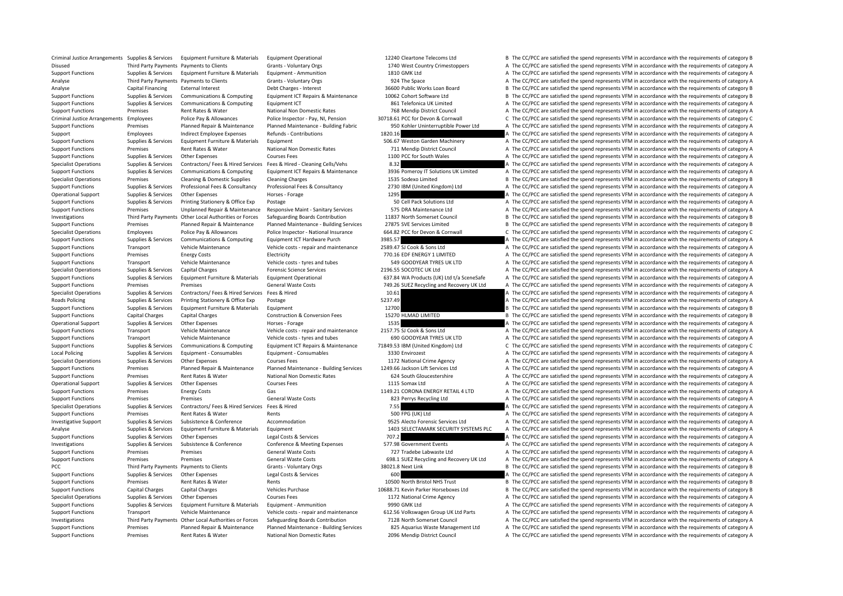|         | 1740 West Country Crimestoppers           |
|---------|-------------------------------------------|
|         | 1810 GMK Ltd                              |
|         | 924 The Space                             |
|         | 36600 Public Works Loan Board             |
|         | 10062 Cohort Software Ltd                 |
|         | 861 Telefonica UK Limited                 |
|         | 768 Mendip District Council               |
|         | 30718.61 PCC for Devon & Cornwall         |
|         | 950 Kohler Uninterruptible Power Ltd      |
| 1820.16 |                                           |
|         | 506.67 Weston Garden Machinery            |
|         | 711 Mendip District Council               |
|         | 1100 PCC for South Wales                  |
| 8.32    |                                           |
|         | 3936 Pomeroy IT Solutions UK Limited      |
|         | 1535 Sodexo Limited                       |
|         | 2730 IBM (United Kingdom) Ltd             |
| 1295    |                                           |
|         | 50 Cell Pack Solutions Ltd                |
|         | 575 DRA Maintenance Ltd                   |
|         | 11837 North Somerset Council              |
|         | 27875 SVE Services Limited                |
|         | 664.82 PCC for Devon & Cornwall           |
| 3985.57 |                                           |
|         | 2589.47 SJ Cook & Sons Ltd                |
|         | 770.16 EDF ENERGY 1 LIMITED               |
|         | 549 GOODYEAR TYRES UK LTD                 |
|         | 2196.55 SOCOTEC UK Ltd                    |
|         | 637.84 WA Products (UK) Ltd t/a SceneSafe |
|         | 749.26 SUEZ Recycling and Recovery UK Ltd |
| 10.61   |                                           |
| 5237.49 |                                           |
| 12700   |                                           |
|         | 15270 HLMAD LIMITED                       |
| 1535    |                                           |
|         | 2157.75 SJ Cook & Sons Ltd                |
|         | 690 GOODYEAR TYRES UK LTD                 |
|         | 71849.53 IBM (United Kingdom) Ltd         |
|         | 3330 Envirozest                           |
|         | 1172 National Crime Agency                |
|         | 1249.66 Jackson Lift Services Ltd         |
|         | 624 South Gloucestershire                 |
|         | 1115 Somax Ltd                            |
|         |                                           |
|         | 1149.21 CORONA ENERGY RETAIL 4 LTD        |
| 7.55    | 823 Perrys Recycling Ltd                  |
|         |                                           |
|         | 500 FPG (UK) Ltd                          |
|         | 9525 Alecto Forensic Services Ltd         |
|         | 1403 SELECTAMARK SECURITY SYSTEMS PLC     |
| 707.2   |                                           |
|         | 577.98 Government Events                  |
|         | 727 Tradebe Labwaste Ltd                  |
|         | 698.1 SUEZ Recycling and Recovery UK Ltd  |
|         | 38021.8 Next Link                         |
| 600     |                                           |
|         | 10500 North Bristol NHS Trust             |
|         | 10688.71 Kevin Parker Horseboxes Ltd      |
|         | 1172 National Crime Agency                |
|         | 9990 GMK Ltd                              |
|         | 612.56 Volkswagen Group UK Ltd Parts      |
|         | 7128 North Somerset Council               |
|         | 825 Aquarius Waste Management Ltd         |
|         | $0.000 \text{ M}$ and in District Casses  |

Criminal Justice Arrangements Supplies & Services Foujoment Furniture & Materials Foujoment Operational 10240 Cleartone Telecoms Ltd B The CC/PCC are satisfied the spend represents VFM in accordance with the requirements o Disused Third Party Payments Payments to Clients Grants - Voluntary Orgs 1740 West Country Crimestoppers A The CC/PCC are satisfied the spend represents VFM in accordance with the requirements of category A Support Functions Supplies & Services Equipment Furniture & Materials Equipment - Ammunition 1810 GMK Ltd A The CC/PCC are satisfied the spend represents VFM in accordance with the requirements of category A Analyse Third Party Payments Payments to Clients Grants - Voluntary Orgs 924 The Space A The CC/PCC are satisfied the spend represents VFM in accordance with the requirements of category A Analyse Capital Financing External Interest Debt Charges - Interest Debt Charges - Interest 36600 Public Works Loan Board B The CC/PCC are satisfied the spend represents VFM in accordance with the requirements of category Support Functions Supporters Supporters Services Communications & Computing Equipment ICT Repairs & Maintenance 10062 Cohort Software Ltd B The CC/PCC are satisfied the spend represents VFM in accordance with the requireme Support Functions Supporters Communications & Communications Communications Computing Faulthorne Equipment ICT 861 Telefonica UK Limited A The CC/PCC are satisfied the spend represents VFM in accordance with the requiremen Support Functions Premises Rent Rates & Water National Non Domestic Rates 768 Mendip District Council A The CC/PCC are satisfied the spend represents VFM in accordance with the requirements of category A Criminal Justice Arrangements Employees Police Pay & Allowances Police Inspector - Pay, NI, Pension 30718.61 PCC for Devon & Cornwall C The CC/PCC are satisfied the spend represents VFM in accordance with the requirements Support Functions Premises Planned Repair & Maintenance Planned Maintenance - Building Fabric 950 Kohler Uninterruptible Power Ltd A The CC/PCC are satisfied the spend represents VFM in accordance with the requirements of Support Employees Indirect Employee Expenses Refunds - Contributions 1820.16 A The CC/PCC are satisfied the spend represents VFM in accordance with the requirements of category A Support Functions Supplies & Services Equipment Furniture & Materials Equipment 506.67 Weston Garden Machinery A The CC/PCC are satisfied the spend represents VFM in accordance with the requirements of category A Support Functions Premises Rent Rates & Water National Non Domestic Rates 711 Mendip District Council A The CC/PCC are satisfied the spend represents VFM in accordance with the requirements of category A Support Functions Supplies & Services Other Expenses Courses Fees Courses Fees 1100 PCC for South Wales A The CC/PCC are satisfied the spend represents VFM in accordance with the requirements of category A Specialist Operations Supplies & Services Contractors/ Fees & Hired Services Fees & Hired - Cleaning Cells/Vehs 8.32 A The CC/PCC are satisfied the spend represents VFM in accordance with the requirements of category A Support Functions Support Support Support Communications & Communications & Communications Communications & Communications Equipment ICT Repairs & Maintenance 3936 Pomerov IT Solutions LIK Limited A The CC/PCC are satisfie Specialist Operations Premises Cleaning & Domestic Supplies Cleaning Charges 1535 Sodexo Limited B The CC/PCC are satisfied the spend represents VFM in accordance with the requirements of category B Support Functions Supporters Supporters & Services Professional Fees & Consultancy Professional Fees & Consultancy Professional Fees & Consultancy Professional Fees & Consultancy 2730 IBM (United Kingdom) Ltd A The CC/PCC Operational Support Supplies & Services Other Expenses Horses Forage Horses Forage 1295 A The CC/PCC are satisfied the spend represents VFM in accordance with the requirements of category A Support Functions Supplies & Services Printing Stationery & Office Exp Postage 50 Cell Pack Solutions Ltd A The CC/PCC are satisfied the spend represents VFM in accordance with the requirements of category A Support Functions Premises Unplanned Repair & Maintenance Responsive Maint - Sanitary Services 575 DRA Maintenance Ltd A The CC/PCC are satisfied the spend represents VFM in accordance with the requirements of category A Investigations Third Party Payments Other Local Authorities or Forces Safeguarding Boards Contribution 11837 North Somerset Council B The CC/PCC are satisfied the spend represents VFM in accordance with the requirements of Support Functions Premises Planned Repair & Maintenance Planned Maintenance - Building Services 27875 SVE Services Limited B The CC/PCC are satisfied the spend represents VFM in accordance with the requirements of category Specialist Operations Employees Police Pay & Allowances Police Inspector - National Insurance 664.82 PCC for Devon & Cornwall C The CC/PCC are satisfied the spend represents VFM in accordance with the requirements of categ Support Functions Supplies & Services Communications & Computing Equipment ICT Hardware Purch 3985.57 30 A The CC/PCC are satisfied the spend represents VFM in accordance with the requirements of category A Support Functions Transport Vehicle Maintenance Vehicle costs - repair and maintenance 2589.47 SJ Cook & Sons Ltd A The CC/PCC are satisfied the spend represents VFM in accordance with the requirements of category A Support Functions Premises Energy Costs Functions Electricity Functions Premises Energy Costs Electricity Functions Electricity Functions and The CC/PCC are satisfied the spend represents VFM in accordance with the require Support Functions Transport Vehicle Maintenance Vehicle costs - tyres and tubes 549 GOODYEAR TYRES UK LTD A The CC/PCC are satisfied the spend represents VFM in accordance with the requirements of category A Specialist Operations Supplies & Services Capital Charges Forensic Science Services Forensic Science Services 2196.55 SOCOTEC UK Ltd A The CC/PCC are satisfied the spend represents VFM in accordance with the requirements o Support Functions Supplies & Services Equipment Furniture & Materials Equipment Operational 637.84 WA Products (UK) Ltd t/a SceneSafe A The CC/PCC are satisfied the spend represents VFM in accordance with the requirements Support Functions Premises Premises Premises Seneral Waste Costs 749.26 SUEZ Recycling and Recovery UK Ltd A The CC/PCC are satisfied the spend represents VFM in accordance with the requirements of category A Specialist Operations Supplies & Services Contractors/ Fees & Hired Services Fees & Hired Services Fees & Hired 10.61 A The CC/PCC are satisfied the spend represents VFM in accordance with the requirements of category A Roads Policing Supplies & Services Printing Stationery & Office Exp Postage 5237.49 Supplies Supplies and The CC/PCC are satisfied the spend represents VFM in accordance with the requirements of category A Support Functions Supplies & Services Equipment Furniture & Materials Equipment 11700 12700 B The CC/PCC are satisfied the spend represents VFM in accordance with the requirements of category B Support Functions Capital Charges Capital Charges Construction & Conversion Fees 15270 HLMAD LIMITED B The CC/PCC are satisfied the spend represents VFM in accordance with the requirements of category B Operational Support Supplies & Services Other Expenses Horses Forage Horses Forage 1535 A The CC/PCC are satisfied the spend represents VFM in accordance with the requirements of category A Support Functions Transport Vehicle Maintenance Vehicle costs - repair and maintenance 2157.75 SJ Cook & Sons Ltd A The CC/PCC are satisfied the spend represents VFM in accordance with the requirements of category A Support Functions Transport Vehicle Maintenance Vehicle costs - tyres and tubes 690 GOODYEAR TYRES UK LTD A The CC/PCC are satisfied the spend represents VFM in accordance with the requirements of category A Support Functions Supplies & Services Communications & Computing Equipment ICT Repairs & Maintenance 71849.53 IBM (United Kingdom) Ltd C The CC/PCC are satisfied the spend represents VFM in accordance with the requirements Local Policing Supplies & Services Equipment • Consumables Equipment • Consumables Equipment • Consumables and Equipment • Consumables and a Category A The CC/PCC are satisfied the spend represents VFM in accordance with t Specialist Operations Supplies & Services Other Expenses Courses Fees Courses Fees 1172 National Crime Agency A The CC/PCC are satisfied the spend represents VFM in accordance with the requirements of category A Support Functions Premises Planned Repair & Maintenance Planned Maintenance - Building Services 1249.66 Jackson Lift Services Ltd A The CC/PCC are satisfied the spend represents VFM in accordance with the requirements of c Support Functions Premises Rent Rates & Water National Non Domestic Rates 624 South Gloucestershire A The CC/PCC are satisfied the spend represents VFM in accordance with the requirements of category A Operational Support Supplies & Services Other Expenses Courses Fees Courses Fees 1115 Somax Ltd A The CC/PCC are satisfied the spend represents VFM in accordance with the requirements of category A Support Functions Premises Energy Costs Gas Gas Gas 1149.21 CORONA ENERGY RETAIL 4 LTD A The CC/PCC are satisfied the spend represents VFM in accordance with the requirements of category A Support Functions Premises Premises Premises Seneral Waste Costs General Waste Costs 823 Perrys Recycling Ltd A The CC/PCC are satisfied the spend represents VFM in accordance with the requirements of category A Specialist Operations Supplies & Services Contractors/ Fees & Hired Services Fees & Hired Services Fees & Hired Services Fees & Hired 7.55 A The CC/PCC are satisfied the spend represents VFM in accordance with the requirem Support Functions Premises Rent Rates & Water Rents Rents Rents Rents Support A The CC/PCC are satisfied the spend represents VFM in accordance with the requirements of category A Investigative Support Supplies & Services Subsistence & Conference Accommodation 9525 Alecto Forensic Services Ltd A The CC/PCC are satisfied the spend represents VFM in accordance with the requirements of category A Analyse Supplies & Services Equipment Furniture & Materials Equipment 1403 SELECTAMARK SECURITY SYSTEMS PLC A The CC/PCC are satisfied the spend represents VFM in accordance with the requirements of category A Support Functions Supplies & Services Other Expenses Legal Costs & Services 207.2 2 A The CC/PCC are satisfied the spend represents VFM in accordance with the requirements of category A Investigations Supplies & Services Subsistence & Conference Conference & Meeting Expenses 577.98 Government Events A The CC/PCC are satisfied the spend represents VFM in accordance with the requirements of category A Support Functions Premises Premises Premises Support General Waste Costs 727 Tradebe Labwaste Ltd A The CC/PCC are satisfied the spend represents VFM in accordance with the requirements of category A Support Functions Premises Premises Premises and Support General Waste Costs 698.1 SUEZ Recycling and Recovery UK Ltd A The CC/PCC are satisfied the spend represents VFM in accordance with the requirements of category A PCC Third Party Payments Payments to Clients Grants - Voluntary Orgs 38021.8 Next Link B The CC/PCC are satisfied the spend represents VFM in accordance with the requirements of category B Support Functions Supplies & Services Other Expenses Legal Costs & Services 600 600 A The CC/PCC are satisfied the spend represents VFM in accordance with the requirements of category A Support Functions Premises Rent Rates & Water Rents Rents Rents Rents 10500 North Bristol NHS Trust B The CC/PCC are satisfied the spend represents VFM in accordance with the requirements of category B Support Functions Capital Charges Capital Charges Vehicles Purchase Vehicles Purchase 10688.71 Kevin Parker Horseboxes Ltd B The CC/PCC are satisfied the spend represents VFM in accordance with the requirements of category Specialist Operations Supplies & Services Other Expenses Courses Fees Courses Fees 1172 National Crime Agency A The CC/PCC are satisfied the spend represents VFM in accordance with the requirements of category A Support Functions Supplies & Services Equipment Furniture & Materials Equipment - Ammunition 9990 GMK Ltd A The CC/PCC are satisfied the spend represents VFM in accordance with the requirements of category A Support Functions Transport Vehicle Maintenance Vehicle costs - repair and maintenance 612.56 Volkswagen Group UK Ltd Parts A The CC/PCC are satisfied the spend represents VFM in accordance with the requirements of categor Investigations Third Party Payments Other Local Authorities or Forces Safeguarding Boards Contribution 7128 North Somerset Council A The CC/PCC are satisfied the spend represents VFM in accordance with the requirements of Support Functions Premises Planned Repair & Maintenance Planned Maintenance - Building Services 825 Aquarius Waste Management Itd A The CC/PCC are satisfied the spend represents VFM in accordance with the requirements of c Support Functions Premises Rent Rates Rent Rates National Non Domestic Rates 2096 Mendip District Council A The CC/PCC are satisfied the spend represents VFM in accordance with the requirements of category A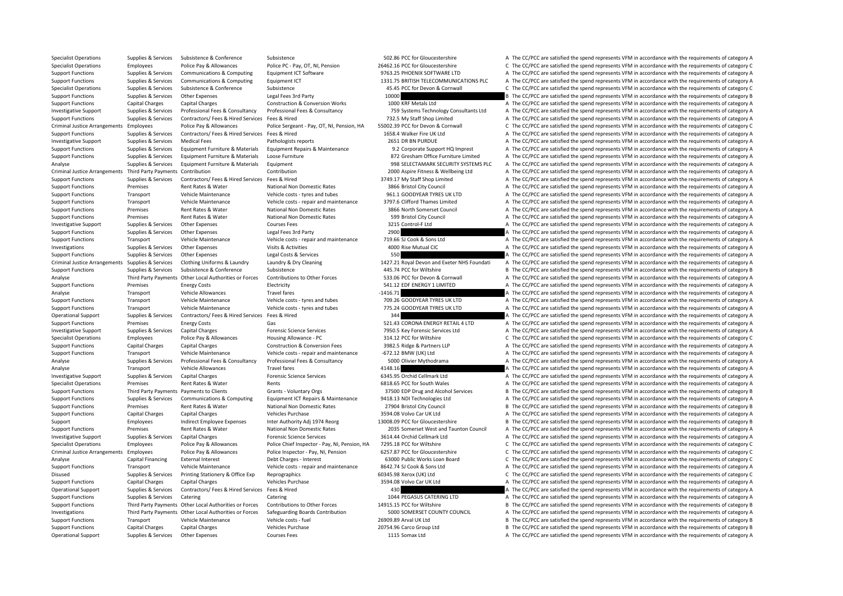Specialist Operations Supplies & Services Subsistence Subsistence Subsistence Subsistence Subsistence Subsistence Subsistence Subsistence Subsistence Subsistence Subsistence Subsistence Subsistence Subsistence Subsistence

Specialist Operations Employees Police Pay & Allowances Police PC - Pay, OT, NI, Pension 26462.16 PCC for Gloucestershire C The CC/PCC are satisfied the spend represents VFM in accordance with the requirements of category Support Functions Supplies & Services Communications & Computing Equipment ICT Software 9763.25 PHOENIX SOFTWARE LTD A The CC/PCC are satisfied the spend represents VFM in accordance with the requirements of category A Support Functions Supplies & Services Communications & Computing Equipment ICT 1331.75 BRITISH TELECOMMUNICATIONS PLC A The CC/PCC are satisfied the spend represents VFM in accordance with the requirements of category A Specialist Operations Supplies & Services Subsistence Subsistence Subsistence 45.45 PCC for Devon & Connwall C The CC/PCC are satisfied the spend represents VFM in accordance with the requirements of category C Support Functions Supplies & Services Other Expenses Legal Fees 3rd Party 10000 10000 B The CC/PCC are satisfied the spend represents VFM in accordance with the requirements of category B Shannort Functions Constructions C Support Functions Capital Charges Capital Charges Construction & Conversion Works 1000 KRF Metals Ltd A The CC/PCC are satisfied the spend represents VFM in accordance with the requirements of category A Investigative Support Supplies & Services Professional Fees & Consultancy Professional Fees & Consultancy Professional Fees & Consultancy Professional Fees & Consultancy Professional Fees & Consultancy 759 Systems Technolo Support Functions Supplies & Services Contractors/ Fees & Hired Services Fees & Hired 732.5 My Staff Shop Limited A The CC/PCC are satisfied the spend represents VFM in accordance with the requirements of category A Criminal Justice Arrangements Employees Police Pay & Allowances Police Sergeant - Pay, OT, NI, Pension, HA 55002.39 PCC for Devon & Cornwall C The CC/PCC are satisfied the spend represents VFM in accordance with the requir Support Functions Services Contractors/ Fees & Hired Services Fees & Hired Services Fees & Hired 1658.4 Walker Fire UK Ltd A The CC/PCC are satisfied the spend represents VFM in accordance with the requirements of category Investigative Support Supplies & Services Medical Fees Pathologists reports 2651 DR BN PURDUE A The CC/PCC are satisfied the spend represents VFM in accordance with the requirements of category A Support Functions Supplies & Services Equipment Furniture & Materials Equipment Repairs & Maintenance 9.2 Corporate Support HQ Imprest A The CC/PCC are satisfied the spend represents VFM in accordance with the requirements Support Functions Supplies & Services Equipment Furniture & Materials Loose Furniture 872 Gresham Office Furniture Limited A The CC/PCC are satisfied the spend represents VFM in accordance with the requirements of category Analyse Supplies & Services Equipment Furniture & Materials Equipment Services Equipment 998 SELECTAMARK SECURITY SYSTEMS PLC A The CC/PCC are satisfied the spend represents VFM in accordance with the requirements of categ Criminal Justice Arrangements Third Party Payments Contribution Contribution 2000 Aspire Fitness & Wellbeing Ltd A The CC/PCC are satisfied the spend represents VFM in accordance with the requirements of category A Support Functions Supplies & Services Contractors/ Fees & Hired Services Fees & Hired 3749.17 My Staff Shop Limited A The CC/PCC are satisfied the spend represents VFM in accordance with the requirements of category A Support Functions Premises Rent Rates & Water National Non Domestic Rates 3866 Bristol City Council A The CC/PCC are satisfied the spend represents VFM in accordance with the requirements of category A Support Functions Transport Vehicle Maintenance Vehicle costs - tyres and tubes 961.1 GOODYEAR TYRES UK LTD A The CC/PCC are satisfied the spend represents VFM in accordance with the requirements of category A Support Functions Transport Vehicle Maintenance Vehicle costs - repair and maintenance 3797.6 Clifford Thames Limited A The CC/PCC are satisfied the spend represents VFM in accordance with the requirements of category A Support Functions Premises Rent Rates & Water National Non Domestic Rates 3866 North Somerset Council A The CC/PCC are satisfied the spend represents VFM in accordance with the requirements of category A Support Functions Premises Rent Rates & Water National Non Domestic Rates 599 Bristol City Council A The CC/PCC are satisfied the spend represents VFM in accordance with the requirements of category A Investigative Support Supplies & Services Other Expenses Courses Fees Courses Fees 3215 Control‐F Ltd A The CC/PCC are satisfied the spend represents VFM in accordance with the requirements of category A Support Functions Supplies & Services Other Expenses Legal Fees 3rd Party 2900 2900 A The CC/PCC are satisfied the spend represents VFM in accordance with the requirements of category A Support Functions Transport Vehicle Maintenance Vehicle costs - repair and maintenance 719.66 SJ Cook & Sons Ltd A The CC/PCC are satisfied the spend represents VFM in accordance with the requirements of category A United Investigations Supplies & Services Other Expenses Visits & Activities 4000 Rise Mutual CIC A The CC/PCC are satisfied the spend represents VFM in accordance with the requirements of category A Support Functions Supplies & Services Other Expenses Legal Costs & Services 550 Services 550 A The CC/PCC are satisfied the spend represents VFM in accordance with the requirements of category A Criminal Justice Arrangements Supplies & Services Clothing Uniforms & Laundry Laundry & Dry Cleaning 197.21 Royal Devon and Exeter NHS Foundati A The CC/PCC are satisfied the spend represents VFM in accordance with the req Support Functions Supplies & Services Subsistence & Conference Subsistence Subsistence 445.74 PCC for Wiltshire 445.74 PCC for Willshire B The CC/PCC are satisfied the spend represents VFM in accordance with the requiremen Third Party Payments Other Local Authorities or Forces Contributions to Other Forces 533.06 PCC for Devon & Connwall A The CC/PCC are satisfied the spend represents VFM in accordance with the requirements of category A Support Functions Premises Energy Costs Electricity Electricity Electricity 541.12 EDF ENERGY 1 LIMITED A The CC/PCC are satisfied the spend represents VFM in accordance with the requirements of category A Analyse Transport Vehicle Allowances Travel fares Frame of the Stategory A The CC/PCC are satisfied the spend represents VFM in accordance with the requirements of category A Support Functions Transport Vehicle Maintenance Vehicle costs - tyres and tubes 709.26 GOODYEAR TYRES UK LTD A The CC/PCC are satisfied the spend represents VFM in accordance with the requirements of category A Support Functions Transport Vehicle Maintenance Vehicle costs - tyres and tubes 775.24 GOODYEAR TYRES UK LTD A The CC/PCC are satisfied the spend represents VFM in accordance with the requirements of category A Operational Support Supplies & Services Contractors/ Fees & Hired Services Fees & Hired Services Fees & Hired Services Fees & Hired 344 A The CC/PCC are satisfied the spend represents VFM in accordance with the requirement Support Functions Premises Energy Costs Gas Gas Gas Support ENERGY RETAIL 4 LTD A The CC/PCC are satisfied the spend represents VFM in accordance with the requirements of category A Investigative Support Support Supportes Capital Charges Forensic Science Services 7950.5 Key Forensic Services Ltd A The CC/PCC are satisfied the spend represents VFM in accordance with the requirements of category A Specialist Operations Employees Police Pay & Allowances Housing Allowance - PC 314.12 PCC for Wiltshire C The CC/PCC are satisfied the spend represents VFM in accordance with the requirements of category C Support Functions Capital Charges Capital Charges Construction & Conversion Fees 3982.5 Ridge & Partners LLP A The CC/PCC are satisfied the spend represents VFM in accordance with the requirements of category A Support Functions Transport Vehicle Maintenance Vehicle costs - repair and maintenance - 672.12 BMW (UK) Ltd A The CC/PCC are satisfied the spend represents VFM in accordance with the requirements of category A Analyse Supplies & Services Professional Fees & Consultancy Professional Fees & Consultancy S000 Olivier Mythodrama A The CC/PCC are satisfied the spend represents VFM in accordance with the requirements of category A Analyse Transport Vehicle Allowances Travel fares Travel fares 4148.16 A The CC/PCC are satisfied the spend represents VFM in accordance with the requirements of category A Investigative Support Supplies & Services Capital Charges Forensic Science Services 6345.95 Orchid Cellmark Ltd A The CC/PCC are satisfied the spend represents VFM in accordance with the requirements of category A Specialist Operations Premises Rent Rates & Water Rents Rents Rents Rent Rents A The CC/PCC are satisfied the spend represents VFM in accordance with the requirements of category A Support Functions Third Party Payments Payments to Clients Grants - Voluntary Orgs 37500 EDP Drug and Alcohol Services B The CC/PCC are satisfied the spend represents VFM in accordance with the requirements of category B Support Functions Supplies & Services Communications & Computing Equipment ICT Repairs & Maintenance 9418.13 NDI Technologies Ltd A The CC/PCC are satisfied the spend represents VFM in accordance with the requirements of c Support Functions Premises Rent Rates & Water National Non Domestic Rates 27904 Bristol City Council B The CC/PCC are satisfied the spend represents VFM in accordance with the requirements of category B Support Functions Capital Charges Capital Charges Vehicles Purchase Vehicles Purchase 3594.08 Volvo Car UK Ltd A The CC/PCC are satisfied the spend represents VFM in accordance with the requirements of category A Support Employees Indirect Employee Expenses Inter Authority Adj 1974 Reorg 13008.09 PCC for Gloucestershire B The CC/PCC are satisfied the spend represents VFM in accordance with the requirements of category B Support Functions Premises Rent Rates Rent Rates National Non Domestic Rates 2035 Somerset West and Taunton Council A The CC/PCC are satisfied the spend represents VFM in accordance with the requirements of category A Investigative Support Supplies & Services Capital Charges Forensic Science Services and Services 3614.44 Orchid Cellmark Ltd A The CC/PCC are satisfied the spend represents VFM in accordance with the requirements of catego Specialist Operations Employees Police Pay & Allowances Police Chief Inspector - Pay, NI, Pension, HA 7295.18 PCC for Wiltshire C The CC/PCC are satisfied the spend represents VFM in accordance with the requirements of cat Criminal Justice Arrangements Employees Police Pay & Allowances Police Inspector - Pay, NI, Pension 6257.87 PCC for Gloucestershire C The CC/PCC are satisfied the spend represents VFM in accordance with the requirements of Analyse Capital Financing External Interest Debt Charges - Interest Debt Charges - Interest 63000 Public Works Loan Board C The CC/PCC are satisfied the spend represents VFM in accordance with the requirements of category Support Functions Transport Vehicle Maintenance Vehicle costs - repair and maintenance 8642.74 SJ Cook & Sons Ltd A The CC/PCC are satisfied the spend represents VFM in accordance with the requirements of category A Disused Supplies & Services Printing Stationery & Office Exp Reprographics expendition accordance with the requirements of category C The CC/PCC are satisfied the spend represents VFM in accordance with the requirements of Support Functions Capital Charges Capital Charges Vehicles Purchase Vehicles Purchase 3594.08 Volvo Car UK Ltd A The CC/PCC are satisfied the spend represents VFM in accordance with the requirements of category A Operational Support Supplies & Services Contractors/ Fees & Hired Services Fees & Hired Music Hired 430 A The CC/PCC are satisfied the spend represents VFM in accordance with the requirements of category A Support Functions Supplies & Services Catering Catering Catering Catering Catering Catering Catering Catering Catering Catering Catering Catering Catering Catering Catering Catering Catering Catering Catering Catering Cate Support Functions Third Party Payments Other Local Authorities or Forces Contributions to Other Forces 14915.15 PCC for Willtshire B The CC/PCC are satisfied the spend represents VFM in accordance with the requirements of Investigations Third Party Payments Other Local Authorities or Forces Safeguarding Boards Contribution 5000 SOMERSET COUNTY COUNCIL A The CC/PCC are satisfied the spend represents VFM in accordance with the requirements of Support Functions Transport Vehicle Maintenance Vehicle costs - fuel 26909.89 Arval UK Ltd B The CC/PCC are satisfied the spend represents VFM in accordance with the requirements of category B Support Functions Capital Charges Capital Charges Vehicles Purchase 20754.96 Carco Group Ltd B The CC/PCC are satisfied the spend represents VFM in accordance with the requirements of category B Operational Support Support Support Support Of Cher Expenses Courses Fees 1115 Somax Ltd A The CC/PCC are satisfied the spend represents VFM in accordance with the requirements of category A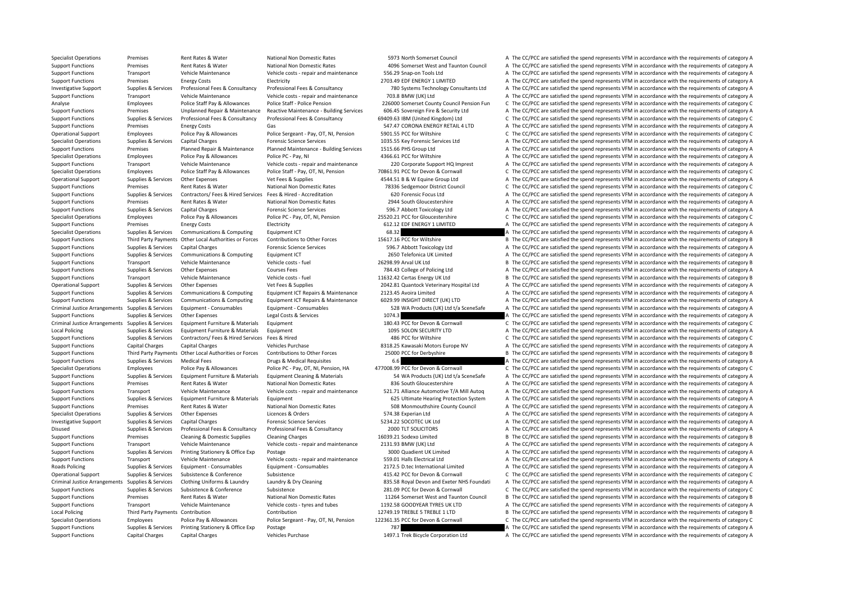Specialist Operations Premises Rent Rates Rent Rates National Non Domestic Rates 5973 North Somerset Council A The CC/PCC are satisfied the spend represents VFM in accordance with the requirements of category A

Support Functions Premises Rent Rates & Water National Non Domestic Rates 4096 Somerset West and Taunton Council A The CC/PCC are satisfied the spend represents VFM in accordance with the requirements of category A Support Functions Transport Vehicle Maintenance Vehicle costs - repair and maintenance 556.29 Snap‐on Tools Ltd A The CC/PCC are satisfied the spend represents VFM in accordance with the requirements of category A Support Functions Premises Energy Costs Electricity Electricity Electricity 2703.49 EDF ENERGY 1 LIMITED A The CC/PCC are satisfied the spend represents VFM in accordance with the requirements of category A Investigative Support Supplies & Services Professional Fees & Consultancy Professional Fees & Consultancy Professional Fees & Consultancy Professional Fees & Consultancy Professional Fees & Consultancy 780 Systems Technolo Support Functions Transport Vehicle Maintenance Vehicle costs - repair and maintenance 703.8 BMW (UK) Ltd A The CC/PCC are satisfied the spend represents VFM in accordance with the requirements of category A Analyse Employees Police Staff Pay & Allowances Police Staff ‐ Police Pension 226000 Somerset County Council Pension Fun C The CC/PCC are satisfied the spend represents VFM in accordance with the requirements of category C Support Functions Premises Unplanned Repair & Maintenance Reactive Maintenance - Building Services 606.45 Sovereign Fire & Security Ltd A The CC/PCC are satisfied the spend represents VFM in accordance with the requirement Support Functions Supplies & Services Professional Fees & Consultancy Professional Fees & Consultancy Professional Fees & Consultancy Professional Fees & Consultancy B9409.63 IBM (United Kingdom) Ltd C The CC/PCC are satis Support Functions Premises Energy Costs Gas Gas Gas Sand Density Corona ENERGY RETAIL 4 LTD A The CC/PCC are satisfied the spend represents VFM in accordance with the requirements of category A Operational Support Employees Police Pay & Allowances Police Sergeant - Pay, OT, NI, Pension 5901.55 PCC for Wiltshire C The CC/PCC are satisfied the spend represents VFM in accordance with the requirements of category C Specialist Operations Supplies & Services Capital Charges Forensic Science Services 1035.55 Key Forensic Services Ltd A The CC/PCC are satisfied the spend represents VFM in accordance with the requirements of category A Support Functions Premises Planned Repair & Maintenance Planned Maintenance - Building Services 1515.66 PHS Group Ltd A The CC/PCC are satisfied the spend represents VFM in accordance with the requirements of category A Specialist Operations Employees Police Pay & Allowances Police PC - Pay, NI 4366.61 PCC for Wiltshire A The CC/PCC are satisfied the spend represents VFM in accordance with the requirements of category A Support Functions Transport Vehicle Maintenance Vehicle costs - repair and maintenance 220 Corporate Support HQ Imprest A The CC/PCC are satisfied the spend represents VFM in accordance with the requirements of category A Specialist Operations Employees Police Staff Pay & Allowances Police Staff - Pay, OT. NL Pension 70861.91 PCC for Devon & Cornwall C. The CC/PCC are satisfied the spend represents VEM in accordance with the requirements of Operational Support Supplies & Services Other Expenses Vet Fees & Supplies Vet Fees & Supplies 4544.51 B & W Equine Group Ltd A The CC/PCC are satisfied the spend represents VFM in accordance with the requirements of categ Support Functions Premises Rent Rates & Water National Non Domestic Rates 78336 Sedgemoor District Council C The CC/PCC are satisfied the spend represents VFM in accordance with the requirements of category C Support Functions Supporters Support Support Contractors/ Fees & Hired Services Fees & Hired Services Fees & Hired Services Fees & Hired - Accreditation 620 Forensic Focus Ltd A The CC/PCC are satisfied the spend represent Support Functions Premises Rent Rates & Water National Non Domestic Rates 2944 South Gloucestershire A The CC/PCC are satisfied the spend represents VFM in accordance with the requirements of category A Support Functions Supplies & Services Capital Charges Forensic Science Services 596.7 Abbott Toxicology Ltd A The CC/PCC are satisfied the spend represents VFM in accordance with the requirements of category A Specialist Operations Employees Police Pay & Allowances Police PC - Pay, OT, NI, Pension 25520.21 PCC for Gloucestershire C The CC/PCC are satisfied the spend represents VFM in accordance with the requirements of category Support Functions Premises Energy Costs Electricity Electricity Electricity Electricity Electricity 612.12 EDF ENERGY 1 LIMITED A The CC/PCC are satisfied the spend represents VFM in accordance with the requirements of cat Specialist Operations Supplies & Services Communications & Computing Equipment ICT 68.32 68.32 A The CC/PCC are satisfied the spend represents VFM in accordance with the requirements of category A Support Functions Third Party Payments Other Local Authorities or Forces Contributions to Other Forces 15617.16 PCC for Wiltshire Burd and The CC/PCC are satisfied the spend represents VFM in accordance with the requiremen Support Functions Supplies & Services Capital Charges Forensic Science Services 596.7 Abbott Toxicology Ltd A The CC/PCC are satisfied the spend represents VFM in accordance with the requirements of category A Support Functions Supplies & Services Communications & Computing Faultoment ICT 2650 Telefonica UK Limited A The CC/PCC are satisfied the spend represents VFM in accordance with the requirements of category A Support Functions Transport Vehicle Maintenance Vehicle costs - fuel 26298.99 Arval UK Ltd B The CC/PCC are satisfied the spend represents VFM in accordance with the requirements of category B Support Functions Supplies & Services Other Expenses Courses Fees Courses Fees 784.43 College of Policing Ltd A The CC/PCC are satisfied the spend represents VFM in accordance with the requirements of category A Support Functions Transport Vehicle Maintenance Vehicle costs - fuel 11632.42 Certas Energy UK Ltd B The CC/PCC are satisfied the spend represents VFM in accordance with the requirements of category B Operational Support Supplies & Services Other Expenses Vet Fees & Supplies Vet Frees Assupplies 2042.81 Quantock Veterinary Hospital Ltd A The CC/PCC are satisfied the spend represents VFM in accordance with the requiremen Support Functions Supplies & Services Communications & Computing Equipment ICT Repairs & Maintenance 2123.45 Avoira Limited A The CC/PCC are satisfied the spend represents VFM in accordance with the requirements of categor Support Functions Supplies & Services Communications & Computing Equipment ICT Repairs & Maintenance 6029.99 INSIGHT DIRECT (UK) LTD A The CC/PCC are satisfied the spend represents VFM in accordance with the requirements o Criminal Justice Arrangements Supplies & Services Equipment - Consumables Equipment - Consumables Equipment - Consumables Equipment - Consumables Equipment - Consumables S28 WA Products (UK) Ltd t/a SceneSafe A The CC/PCC Support Functions Supplies & Services Other Expenses Legal Costs & Services 1074.3 A The CC/PCC are satisfied the spend represents VFM in accordance with the requirements of category A Criminal Justice Arrangements Supplies & Services Equipment Furniture & Materials Equipment entity and Equipment and the supplies and the Service of category C The CC/PCC are satisfied the spend represents VFM in accordanc Local Policing Supplies & Services Equipment Furniture & Materials Equipment 1095 SOLON SECURITY LTD A The CC/PCC are satisfied the spend represents VFM in accordance with the requirements of category A Support Functions Supplies & Services Contractors/ Fees & Hired Services Fees & Hired 486 PCC for Wiltshire 486 PCC for Wiltshire C The CC/PCC are satisfied the spend represents VFM in accordance with the requirements of c Support Functions Capital Charges Capital Charges Capital Charges Capital Charges Vehicles Purchase entity extends and the Support Europe NV A The CC/PCC are satisfied the spend represents VFM in accordance with the requir Support Functions Third Party Payments Other Local Authorities or Forces Contributions to Other Forces 25000 PCC for Derbyshire B The CC/PCC are satisfied the spend represents VFM in accordance with the requirements of cat Support Functions Supplies & Services Medical Fees Drugs & Medical Requisites 6.6 A The CC/PCC are satisfied the spend represents VFM in accordance with the requirements of category A Specialist Operations Employees Police Pay & Allowances Police PC - Pay, OT, NI, Pension, HA 477008.99 PCC for Devon & Cornwall C The CC/PCC are satisfied the spend represents VFM in accordance with the requirements of cat Support Functions Supplies & Services Equipment Furniture & Materials Equipment Cleaning & Materials Anterials Support Cleaning & Materials 54 WA Products (UK) Ltd t/a SceneSafe A The CC/PCC are satisfied the spend represe Support Functions Premises Rent Rates & Water National Non Domestic Rates 836 South Gloucestershire A The CC/PCC are satisfied the spend represents VFM in accordance with the requirements of category A Support Functions Transport Vehicle Maintenance Vehicle costs - repair and maintenance 521.71 Alliance Automotive T/A Mill Autoq A The CC/PCC are satisfied the spend represents VFM in accordance with the requirements of ca Support Functions Supplies & Services Equipment Furniture & Materials Equipment 625 Ultimate Hearing Protection System A The CC/PCC are satisfied the spend represents VFM in accordance with the requirements of category A Support Functions Premises Rent Rates & Water National Non Domestic Rates 508 Monmouthshire County Council A The CC/PCC are satisfied the spend represents VFM in accordance with the requirements of category A Specialist Operations Supplies & Services Other Expenses Licences & Orders Licences A Orders 574.38 Experian Ltd A The CC/PCC are satisfied the spend represents VFM in accordance with the requirements of category A Investigative Support Supplies & Services Capital Charges Forensic Science Services Forensic Science Services 5234.22 SOCOTEC UK Ltd A The CC/PCC are satisfied the spend represents VFM in accordance with the requirements o Disused Supplies & Services Professional Fees & Consultancy Professional Fees & Consultancy 2000 TLT SOLICITORS A The CC/PCC are satisfied the spend represents VFM in accordance with the requirements of category A Support Functions Premises Cleaning & Domestic Supplies Cleaning Charges 16039.21 Sodexo Limited B The CC/PCC are satisfied the spend represents VFM in accordance with the requirements of category B Support Functions Transport Vehicle Maintenance Vehicle costs - repair and maintenance 2131.93 BMW (UK) I td A The CC/PCC are satisfied the spend represents VFM in accordance with the requirements of category A Support Functions Supplies & Services Printing Stationery & Office Exp Postage 3000 Quadient UK Limited A The CC/PCC are satisfied the spend represents VFM in accordance with the requirements of category A Support Functions Transport Vehicle Maintenance Vehicle costs - repair and maintenance 559.01 Halls Electrical Ltd A The CC/PCC are satisfied the spend represents VFM in accordance with the requirements of category A Roads Policing Supplies & Services Equipment • Consumables Equipment • Consumables 2172.5 D.tec International Limited A The CC/PCC are satisfied the spend represents VFM in accordance with the requirements of category A Operational Support Supplies & Services Subsistence & Conference Subsistence 4015.42 PCC for Devon & Cornwall C The CC/PCC are satisfied the spend represents VFM in accordance with the requirements of category C Criminal Justice Arrangements Supplies & Services Clothing Uniforms & Laundry Laundry & Dry Cleaning 1992 Criminal Devon and Exeter NHS Foundati A The CC/PCC are satisfied the spend represents VFM in accordance with the re Support Functions Supplies & Services Subsistence Subsistence Subsistence Subsistence 281.09 PCC for Devon & Cornwall C The CC/PCC are satisfied the spend represents VFM in accordance with the requirements of category C Support Functions Premises Rent Rates & Water National Non Domestic Rates 11264 Somerset West and Taunton Council B The CC/PCC are satisfied the spend represents VFM in accordance with the requirements of category B Support Functions Transport Vehicle Maintenance Vehicle costs - tyres and tubes 1192.58 GOODYEAR TYRES UK LTD A The CC/PCC are satisfied the spend represents VFM in accordance with the requirements of category A Local Policing Third Party Payments Contribution 12749.19 TREBLE 5 TREBLE 5 TREBLE 5 TREBLE 1 LTD B The CC/PCC are satisfied the spend represents VFM in accordance with the requirements of category B Specialist Operations Employees Police Pay & Allowances Police Sergeant - Pay, OT, NI, Pension 122361.35 PCC for Devon & Cornwall C The CC/PCC are satisfied the spend represents VFM in accordance with the requirements of c Support Functions Supplies & Services Printing Stationery & Office Exp Postage 787 787 787 A The CC/PCC are satisfied the spend represents VFM in accordance with the requirements of category A Support Functions Capital Charges Capital Charges Vehicles Purchase 1497.1 Trek Bicycle Corporation Ltd A The CC/PCC are satisfied the spend represents VFM in accordance with the requirements of category A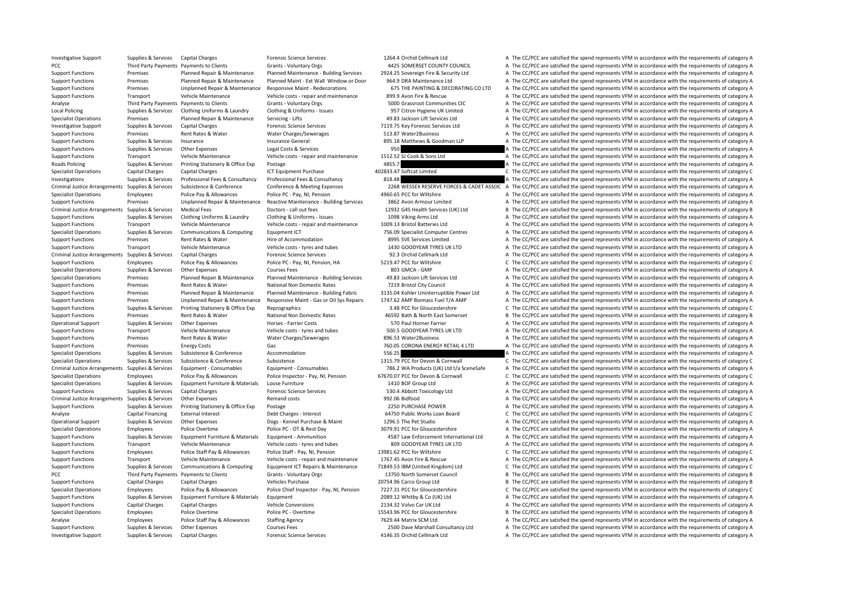Investigative Support Support Supportes Capital Charges Forensic Science Services 1264.4 Orchid Cellmark Ltd A The CC/PCC are satisfied the spend represents VFM in accordance with the requirements of category A PCC Third Party Payments Payments to Clients Grants - Voluntary Orgs 4425 SOMERSET COUNTY COUNCIL A The CC/PCC are satisfied the spend represents VFM in accordance with the requirements of category A Support Functions Premises Planned Repair & Maintenance Planned Maintenance - Building Services 2924.25 Sovereign Fire & Security Ltd A The CC/PCC are satisfied the spend represents VFM in accordance with the requirements Support Functions Premises Planned Repair & Maintenance Planned Maint - Ext Wall Window or Door 964.9 DRA Maintenance Ltd A The CC/PCC are satisfied the spend represents VFM in accordance with the requirements of category Support Functions Premises Unplanned Repair & Maintenance Responsive Maint - Redecorations 675 THE PAINTING & DECORATING COLITD A The CC/PCC are satisfied the spend represents VEM in accordance with the requirements of cat Support Functions Transport Vehicle Maintenance Vehicle costs - repair and maintenance 899.9 Avon Fire & Rescue A The CC/PCC are satisfied the spend represents VFM in accordance with the requirements of category A Analyse Third Party Payments Payments Clients Grants - Voluntary Orgs 6000 Grassroot Communities CIC A The CC/PCC are satisfied the spend represents VFM in accordance with the requirements of category A Local Policing Supplies & Services Clothing Uniforms & Laundry Clothing & Uniforms - Issues 957 Citron Hygiene UK Limited A The CC/PCC are satisfied the spend represents VFM in accordance with the requirements of category Specialist Operations Premises Planned Repair & Maintenance Servicing - Lifts 49.83 Jackson Lift Services Ltd A The CC/PCC are satisfied the spend represents VFM in accordance with the requirements of category A Investigative Support Supplies & Services Capital Charges Forensic Science Services To 7119.75 Key Forensic Services Ltd A The CC/PCC are satisfied the spend represents VFM in accordance with the requirements of category A Support Functions Premises Rent Rates & Water Water Charges/Sewerages 513.87 Water2Business A The CC/PCC are satisfied the spend represents VFM in accordance with the requirements of category A Support Functions Supplies & Services Insurance Insurance Insurance General and a Service Insurance Support of category A The CC/PCC are satisfied the spend represents VFM in accordance with the requirements of category A Support Functions Supplies & Services Other Expenses Legal Costs & Services 950 950 A The CC/PCC are satisfied the spend represents VFM in accordance with the requirements of category A Support Functions Transport Vehicle Maintenance Vehicle costs - repair and maintenance 1512.52 SJ Cook & Sons Ltd A The CC/PCC are satisfied the spend represents VFM in accordance with the requirements of category A Roads Policing Supplies & Services Printing Stationery & Office Exp Postage 1998 a The CC/PCC are satisfied the spend represents VFM in accordance with the requirements of category A Specialist Operations Capital Charges Capital Charges ICT Equipment Purchase 402833.47 Softcat Limited C The CC/PCC are satisfied the spend represents VFM in accordance with the requirements of category C Investigations Supplies & Services Professional Fees & Consultancy Professional Fees & Consultancy 818.48 A The CC/PCC are satisfied the spend represents VFM in accordance with the requirements of category A Criminal Justice Arrangements Supplies & Services Subsistence & Conference Conference & Meeting Expenses 2268 WESSEX RESERVE FORCES & CADET ASSOC A The CC/PCC are satisfied the spend represents VFM in accordance with the r Specialist Operations Employees Police Pay & Allowances Police PC - Pay, NI, Pension 4960.65 PCC for Wiltshire A The CC/PCC are satisfied the spend represents VFM in accordance with the requirements of category A Support Functions Premises Unplanned Repair & Maintenance Reactive Maintenance - Building Services 3862 Avon Armour Limited A The CC/PCC are satisfied the spend represents VFM in accordance with the requirements of categor Criminal Justice Arrangements Supplies & Services Medical Fees Doctors - call out fees 12932 G4S Health Services (UK) Ltd B The CC/PCC are satisfied the spend represents VFM in accordance with the requirements of category Support Functions Supplies & Services Clothing Uniforms & Laundry Clothing & Uniforms - Issues 1098 Viking Arms Ltd A The CC/PCC are satisfied the spend represents VFM in accordance with the requirements of category A Support Functions Transport Vehicle Maintenance Vehicle costs - repair and maintenance 1009.13 Bristol Batteries Ltd A The CC/PCC are satisfied the spend represents VFM in accordance with the requirements of category A Specialist Operations Supplies & Services Communications & Computing Equipment ICT 756.09 Specialist Computer Centres A The CC/PCC are satisfied the spend represents VFM in accordance with the requirements of category A Support Functions Premises Rent Rates & Water Hire of Accommodation Hire of Accommodation 8995 SVE Services Limited A The CC/PCC are satisfied the spend represents VFM in accordance with the requirements of category A Support Functions Transport Vehicle Maintenance Vehicle costs - tyres and tubes 1430 GOODYEAR TYRES UK LTD A The CC/PCC are satisfied the spend represents VFM in accordance with the requirements of category A Criminal Justice Arrangements Supplies & Services Capital Charges Forensic Science Services 92.3 Orchid Cellmark Ltd A The CC/PCC are satisfied the spend represents VFM in accordance with the requirements of category A Support Functions Employees Police Pay & Allowances Police PC - Pay, NI, Pension, HA 5219.47 PCC for Wiltshire C The CC/PCC are satisfied the spend represents VFM in accordance with the requirements of category C Specialist Operations Supplies & Services Other Expenses Courses Fees 803 GMCA - GMP A The CC/PCC are satisfied the spend represents VFM in accordance with the requirements of category A Specialist Operations Premises Planned Repair & Maintenance Planned Maintenance - Building Services 49.83 Jackson Lift Services Ltd A The CC/PCC are satisfied the spend represents VFM in accordance with the requirements of Support Functions Premises Rent Rates & Water National Non Domestic Rates 7219 Bristol City Council A The CC/PCC are satisfied the spend represents VFM in accordance with the requirements of category A Support Functions Premises Planned Repair & Maintenance Planned Maintenance - Building Fabric 3135.04 Kohler Uninterruptible Power Ltd A The CC/PCC are satisfied the spend represents VFM in accordance with the requirements Support Functions Premises Unplanned Repair & Maintenance Responsive Maint - Gas or Oil Sys Repairs 1747.62 AMP Biomass Fuel T/A AMP A The CC/PCC are satisfied the spend represents VFM in accordance with the requirements o Support Functions Supplies & Services Printing Stationery & Office Exp Reprographics Reprographics 3.48 PCC for Gloucestershire C The CC/PCC are satisfied the spend represents VFM in accordance with the requirements of cat Support Functions Premises Rent Rates & Water National Non Domestic Rates 46592 Bath & North East Somerset B The CC/PCC are satisfied the spend represents VFM in accordance with the requirements of category B Operational Support Supplies & Services Other Expenses Horses - Farrier Costs 570 Paul Horner Farrier A The CC/PCC are satisfied the spend represents VFM in accordance with the requirements of category A Support Functions Transport Vehicle Maintenance Vehicle costs - tyres and tubes 500.5 GOODYEAR TYRES UK LTD A The CC/PCC are satisfied the spend represents VFM in accordance with the requirements of category A Support Functions Premises Rent Rates & Water Water Water Charges/Sewerages 896.53 Water2Business A The CC/PCC are satisfied the spend represents VFM in accordance with the requirements of category A Support Functions Premises Energy Costs Gas 760.05 CORONA ENERGY RETAIL 4 LTD A The CC/PCC are satisfied the spend represents VFM in accordance with the requirements of category A Specialist Operations Supplies & Services Subsistence & Conference Accommodation 4 A The CC/PCC are satisfied the spend represents VFM in accordance with the requirements of category A Specialist Operations Supplies & Services Subsistence & Conference Subsistence Subsistence 1315.79 PCC for Devon & Cornwall C The CC/PCC are satisfied the spend represents VFM in accordance with the requirements of categor Criminal Justice Arrangements Supplies & Services Equipment - Consumables Equipment - Consumables Equipment - Consumables Equipment - Consumables Factory and the Service of category A The CC/PCC are satisfied the spend rep Specialist Operations Employees Police Pay & Allowances Police Inspector - Pay, NI, Pension 67670.07 PCC for Devon & Cornwall C The CC/PCC are satisfied the spend represents VFM in accordance with the requirements of categ Specialist Operations Supplies & Services Equipment Furniture & Materials Loose Furniture and Equipment Services 1410 BOF Group Ltd A The CC/PCC are satisfied the spend represents VFM in accordance with the requirements of Support Functions Supplies & Services Capital Charges Forensic Science Services Forensic Science Services 530.4 Abbott Toxicology Ltd A The CC/PCC are satisfied the spend represents VFM in accordance with the requirements Criminal Justice Arrangements Supplies & Services Other Expenses Remand costs Remand costs 892.06 Bidfood A The CC/PCC are satisfied the spend represents VFM in accordance with the requirements of category A Support Functions Supplies & Services Printing Stationery & Office Exp Postage Printing Stationery & Office Exp Postage 2250 PURCHASE POWER A The CC/PCC are satisfied the spend represents VFM in accordance with the require Analyse Capital Financing External Interest Debt Charges - Interest Debt Charges - Interest 64750 Public Works Loan Board C The CC/PCC are satisfied the spend represents VFM in accordance with the requirements of category Operational Support Supplies & Services Other Expenses Dogs - Kennel Purchase & Maint 1296.5 The Pet Studio A The CC/PCC are satisfied the spend represents VFM in accordance with the requirements of category A Specialist Operations Employees Police Overtime Police PC – OT & Rest Day 3079.91 PCC for Gloucestershire A The CC/PCC are satisfied the spend represents VFM in accordance with the requirements of category A Support Functions Supplies & Services Equipment Furniture & Materials Equipment - Ammunition 4587 Law Enforcement International Ltd A The CC/PCC are satisfied the spend represents VFM in accordance with the requirements of Support Functions Transport Vehicle Maintenance Vehicle costs - tyres and tubes 809 GOODYEAR TYRES UK LTD A The CC/PCC are satisfied the spend represents VFM in accordance with the requirements of category A Support Functions Employees Police Staff Pay & Allowances Police Staff - Pay, NI, Pension 13981.62 PCC for Wiltshire C The CC/PCC are satisfied the spend represents VFM in accordance with the requirements of category C Support Functions Transport Vehicle Maintenance Vehicle costs - repair and maintenance 1767.45 Avon Fire & Rescue A The CC/PCC are satisfied the spend represents VFM in accordance with the requirements of category A Support Functions Supplies & Services Communications & Computing Equipment ICT Repairs & Maintenance 71849.53 IBM (United Kingdom) Ltd C The CC/PCC are satisfied the spend represents VFM in accordance with the requirements PCC Third Party Payments Payments to Clients Grants - Voluntary Orgs 13750 North Somerset Council B The CC/PCC are satisfied the spend represents VFM in accordance with the requirements of category B Support Functions Capital Charges Capital Charges Vehicles Purchase 20754.96 Carco Group Ltd B The CC/PCC are satisfied the spend represents VFM in accordance with the requirements of category B Specialist Operations Employees Police Pay & Allowances Police Chief Inspector - Pay, NI. Pension 7227.31 PCC for Gloucestershire C The CC/PCC are satisfied the spend represents VFM in accordance with the requirements of c Support Functions Supplies & Services Equipment Furniture & Materials Equipment 2089.12 Whitby & Co (UK) Ltd A The CC/PCC are satisfied the spend represents VFM in accordance with the requirements of category A Support Functions Capital Charges Capital Charges Vehicle Conversions Vehicle Conversions 2134.32 Volvo Car UK Ltd A The CC/PCC are satisfied the spend represents VFM in accordance with the requirements of category A Specialist Operations Employees Police Overtime Police PC - Overtime Police PC - Overtime 15543.96 PCC for Gloucestershire B The CC/PCC are satisfied the spend represents VFM in accordance with the requirements of category Analyse Employees Police Staff Pay & Allowances Staffing Agency 7629.44 Matrix SCM Ltd A The CC/PCC are satisfied the spend represents VFM in accordance with the requirements of category A Support Functions Supplies & Services Other Expenses Courses Fees 2500 Dave Marshall Consultancy Ltd A The CC/PCC are satisfied the spend represents VFM in accordance with the requirements of category A Investigative Support Support Supportes Capital Charges Forensic Science Services 4146.35 Orchid Cellmark Ltd A The CC/PCC are satisfied the spend represents VFM in accordance with the requirements of category A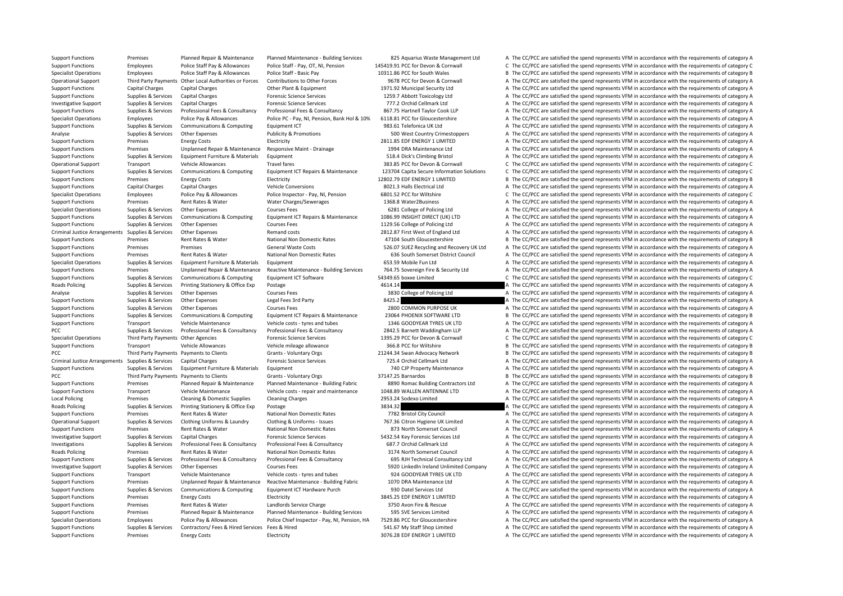Support Functions Premises Planned Repair & Maintenance Planned Maintenance - Building Services 825 Aquarius Waste Management I td A The CC/PCC are satisfied the spend represents VFM in accordance with the requirements of Support Functions Employees Police Staff Pay & Allowances Police Staff - Pay, OT, Ni, Pension 145419.91 PCC for Devon & Cornwall C The CC/PCC are satisfied the spend represents VFM in accordance with the requirements of ca Specialist Operations Employees Police Staff Pay & Allowances Police Staff - Basic Pay 10311.86 PCC for South Wales B The CC/PCC are satisfied the spend represents VFM in accordance with the requirements of category B Operational Support Third Party Payments Other Local Authorities or Forces Contributions to Other Forces 9678 PCC for Devon & Cornwall A The CC/PCC are satisfied the spend represents VFM in accordance with the requirements Support Functions Capital Charges Capital Charges Other Plant & Equipment 1971.92 Municipal Security Ltd A The CC/PCC are satisfied the spend represents VFM in accordance with the requirements of category A Support Functions Supplies & Services Capital Charges Forensic Science Services 1259.7 Abbott Toxicology Ltd A The CC/PCC are satisfied the spend represents VFM in accordance with the requirements of category A Investigative Support Supplies & Services Capital Charges Forensic Science Services Forensic Science Services 777.2 Orchid Cellmark Ltd A The CC/PCC are satisfied the spend represents VFM in accordance with the requirement Support Functions Supplies & Services Professional Fees & Consultancy Professional Fees & Consultancy Professional Fees & Consultancy Professional Fees & Consultancy 2007.75 Hartnell Taylor Cook LLP A The CC/PCC are satisf Specialist Operations Employees Police Pay & Allowances Police PC - Pay, NI, Pension, Bank Hol & 10% 6118.81 PCC for Gloucestershire A The CC/PCC are satisfied the spend represents VFM in accordance with the requirements o Support Functions Supplies & Services Communications & Computing Equipment ICT 983.61 Telefonica UK Ltd A The CC/PCC are satisfied the spend represents VFM in accordance with the requirements of category A Analyse Supplies & Services Other Expenses Publicity & Promotions 500 West Country Crimestoppers A The CC/PCC are satisfied the spend represents VFM in accordance with the requirements of category A Support Functions Premises Energy Costs Electricity Electricity 2811.85 EDF ENERGY 1 LIMITED A The CC/PCC are satisfied the spend represents VFM in accordance with the requirements of category A Support Functions Premises Unplanned Repair & Maintenance Responsive Maint – Drainage 1994 DRA Maintenance Ltd A The CC/PCC are satisfied the spend represents VFM in accordance with the requirements of category A Support Functions Supplies & Services Equipment Furniture & Materials Equipment 518.4 Dick's Climbing Bristol A The CC/PCC are satisfied the spend represents VFM in accordance with the requirements of category A Operational Support Transport Vehicle Allowances Travel fares Travel fares 383.85 PCC for Devon & Cornwall C The CC/PCC are satisfied the spend represents VFM in accordance with the requirements of category C Support Functions Support Support Communications & Communications & Communications Communications Communications Communications Communications C The CC/PCC are satisfied the spend represents VFM in accordance with the requ Support Functions Premises Energy Costs Electricity Electricity and Electricity 12802.79 EDF ENERGY 1 LIMITED B The CC/PCC are satisfied the spend represents VFM in accordance with the requirements of category B Support Functions Capital Charges Capital Charges Vehicle Conversions 8021.3 Halls Electrical Ltd A The CC/PCC are satisfied the spend represents VFM in accordance with the requirements of category A Specialist Operations Employees Police Pay & Allowances Police Inspector - Pay, NI, Pension 6801.52 PCC for Wiltshire C The CC/PCC are satisfied the spend represents VFM in accordance with the requirements of category C Support Functions Premises Rent Rates & Water Water Charges/Sewerages 1368.8 Water2Business A The CC/PCC are satisfied the spend represents VFM in accordance with the requirements of category A Specialist Operations Supplies & Services Other Expenses Courses Fees 6281 College of Policing Ltd A The CC/PCC are satisfied the spend represents VFM in accordance with the requirements of category A Support Functions Supplies & Services Communications & Computing Equipment ICT Repairs & Maintenance 1086.99 INSIGHT DIRECT (UK) LTD A The CC/PCC are satisfied the spend represents VFM in accordance with the requirements o Support Functions Supplies & Services Other Expenses Courses Fees Courses Fees 1129.56 College of Policing Ltd A The CC/PCC are satisfied the spend represents VFM in accordance with the requirements of category A Criminal Justice Arrangements Supplies & Services Other Expenses Remand costs Remand costs 2812.87 First West of England Ltd A The CC/PCC are satisfied the spend represents VFM in accordance with the requirements of catego Support Functions Premises Rent Rates & Water National Non Domestic Rates 47104 South Gloucestershire B The CC/PCC are satisfied the spend represents VFM in accordance with the requirements of category B Support Functions Premises Premises General Waste Costs 526.07 SUEZ Recycling and Recovery UK Ltd A The CC/PCC are satisfied the spend represents VFM in accordance with the requirements of category A Support Functions Premises Rent Rates Rent Rates National Non Domestic Rates 636 South Somerset District Council A The CC/PCC are satisfied the spend represents VFM in accordance with the requirements of category A Specialist Operations Supplies & Services Equipment Furniture & Materials Equipment 653.59 Mobile Fun Ltd A The CC/PCC are satisfied the spend represents VFM in accordance with the requirements of category A Support Functions Premises Unplanned Repair & Maintenance Reactive Maintenance - Building Services 764.75 Sovereign Fire & Security Ltd A The CC/PCC are satisfied the spend represents VFM in accordance with the requirement Support Functions Supplies & Services Communications & Computing Equipment ICT Software 54349.65 boxxe Limited C The CC/PCC are satisfied the spend represents VFM in accordance with the requirements of category C Roads Policing Supplies & Services Printing Stationery & Office Exp Postage 4614.14 4 A The CC/PCC are satisfied the spend represents VFM in accordance with the requirements of category A Analyse Supplies & Services Other Expenses Courses Fees Courses Fees 3830 College of Policing Ltd A The CC/PCC are satisfied the spend represents VFM in accordance with the requirements of category A Support Functions Supplies & Services Other Expenses Legal Fees 3rd Party 8425.2 8425.2 A The CC/PCC are satisfied the spend represents VFM in accordance with the requirements of category A Support Functions Supplies & Services Other Expenses Courses Fees 2800 COMMON PURPOSE UK A The CC/PCC are satisfied the spend represents VFM in accordance with the requirements of category A Support Functions Supplies & Services Communications & Computing Equipment ICT Repairs & Maintenance 23064 PHOENIX SOFTWARE LTD B The CC/PCC are satisfied the spend represents VFM in accordance with the requirements of cat Support Functions Transport Vehicle Maintenance Vehicle costs - tyres and tubes 1346 GOODYEAR TYRES UK LTD A The CC/PCC are satisfied the spend represents VFM in accordance with the requirements of category A PCC Supplies & Services Professional Fees & Consultancy Professional Fees & Consultancy 2842.5 Barnett Waddingham LLP A The CC/PCC are satisfied the spend represents VFM in accordance with the requirements of category A Specialist Operations Third Party Payments Other Agencies Forensic Science Services 1395.29 PCC for Devon & Cornwall C The CC/PCC are satisfied the spend represents VFM in accordance with the requirements of category C Support Functions Transport Vehicle Allowances Vehicle mileage allowance 366.8 PCC for Wiltshire B The CC/PCC are satisfied the spend represents VFM in accordance with the requirements of category B PCC Third Party Payments Payments to Clients Grants - Voluntary Orgs 21244.34 Swan Advocacy Network B The CC/PCC are satisfied the spend represents VFM in accordance with the requirements of category B Criminal Justice Arrangements Supplies & Services Capital Charges Forensic Science Services 725.4 Orchid Cellmark Ltd A The CC/PCC are satisfied the spend represents VFM in accordance with the requirements of category A Support Functions Supplies & Services Equipment Furniture & Materials Equipment **Function** Equipment 740 CJP Property Maintenance A The CC/PCC are satisfied the spend represents VFM in accordance with the requirements of c PCC Third Party Payments Payments to Clients Grants - Voluntary Orgs 37147.25 Barnardos B The CC/PCC are satisfied the spend represents VFM in accordance with the requirements of category B Support Functions Premises Planned Repair & Maintenance Planned Maintenance - Building Fabric 8890 Romac Building Contractors Ltd A The CC/PCC are satisfied the spend represents VFM in accordance with the requirements of c Support Functions Transport Vehicle Maintenance Vehicle costs - repair and maintenance 1048.89 WALLEN ANTENNAE LTD A The CC/PCC are satisfied the spend represents VFM in accordance with the requirements of category A Local Policing Premises Cleaning & Domestic Supplies Cleaning Charges Cleaning Charges 2953.24 Sodexo Limited A The CC/PCC are satisfied the spend represents VFM in accordance with the requirements of category A Reads Poli Roads Policing Supplies & Services Printing Stationery & Office Exp Postage Printing Stationery & Office Exp Postage 3834.32 A The CC/PCC are satisfied the spend represents VFM in accordance with the requirements of catego Support Functions Premises Rent Rates & Water National Non Domestic Rates 7782 Bristol City Council A The CC/PCC are satisfied the spend represents VFM in accordance with the requirements of category A Operational Support Supplies & Services Clothing Uniforms & Laundry Clothing & Uniforms - Issues 767.36 Citron Hygiene UK Limited A The CC/PCC are satisfied the spend represents VFM in accordance with the requirements of c Support Functions Premises Rent Rates & Water National Non Domestic Rates 873 North Somerset Council A The CC/PCC are satisfied the spend represents VFM in accordance with the requirements of category A Investigative Support Supplies & Services Capital Charges Forensic Science Services 5432.54 Key Forensic Services Ltd A The CC/PCC are satisfied the spend represents VFM in accordance with the requirements of category A Investigations Supplies & Services Professional Fees & Consultancy Professional Fees & Consultancy Professional Fees & Consultancy Professional Fees & Consultancy Ball Consultancy (Ball College and The CC/PCC are satisfied Roads Policing Premises Rent Rates & Water National Non Domestic Rates 3174 North Somerset Council A The CC/PCC are satisfied the spend represents VFM in accordance with the requirements of category A Support Functions Supplies & Services Professional Fees & Consultancy Professional Fees & Consultancy Professional Fees & Consultancy excountancy consultancy Consultancy Ltd A The CC/PCC are satisfied the spend represents Investigative Support Supplies & Services Other Expenses Courses Fees Same Support Support Courses Fees Services Support Courses Fees Services Support of the spend represents VFM in accordance with the requirements of cate Support Functions Transport Vehicle Maintenance Vehicle costs - tyres and tubes 924 GOODYEAR TYRES UK LTD A The CC/PCC are satisfied the spend represents VFM in accordance with the requirements of category A Support Functions Premises Unplanned Repair & Maintenance Reactive Maintenance - Building Fabric 1070 DRA Maintenance Ltd A The CC/PCC are satisfied the spend represents VFM in accordance with the requirements of category Support Functions Supplies & Services Communications & Computing Equipment ICT Hardware Purch 930 Datel Services Ltd A The CC/PCC are satisfied the spend represents VFM in accordance with the requirements of category A Support Functions Premises Energy Costs Electricity Electricity and the Support of Costs Electricity and The CC/PCC are satisfied the spend represents VFM in accordance with the requirements of category A Support Functions Premises Rent Rates & Water Landlords Service Charge 3750 Avon Fire & Rescue A The CC/PCC are satisfied the spend represents VFM in accordance with the requirements of category A Support Functions Premises Planned Repair & Maintenance Planned Maintenance - Building Services 595 SVE Services Limited A The CC/PCC are satisfied the spend represents VFM in accordance with the requirements of category A Specialist Operations Employees Police Pay & Allowances Police Chief Inspector - Pay, NI, Pension, HA 7529.86 PCC for Gloucestershire A The CC/PCC are satisfied the spend represents VFM in accordance with the requirements Support Functions Supplies & Services Contractors/ Fees & Hired Services Fees & Hired Services Fees & Hired 541.67 My Staff Shop Limited A The CC/PCC are satisfied the spend represents VFM in accordance with the requiremen Support Functions Premises Energy Costs Electricity Electricity 3076.28 EDF ENERGY 1 LIMITED A The CC/PCC are satisfied the spend represents VFM in accordance with the requirements of category A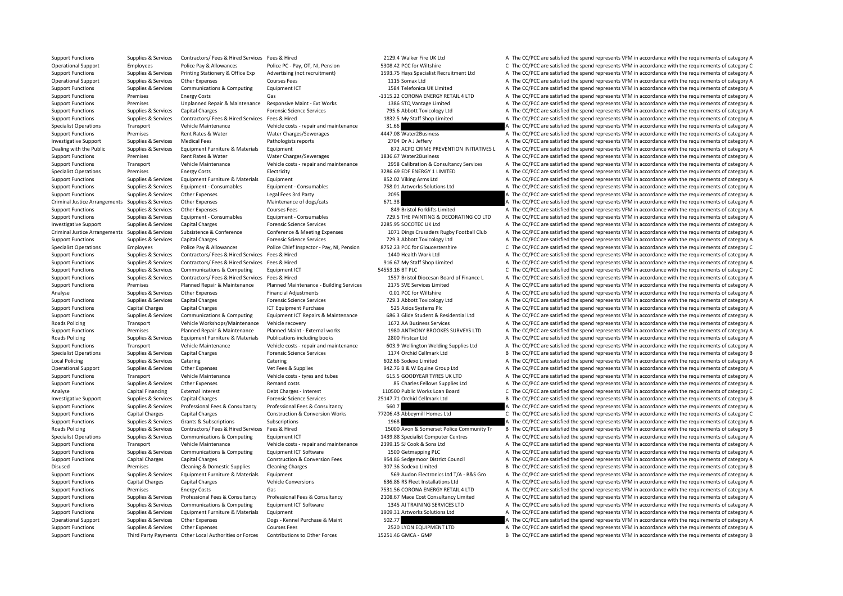Support Functions Supplies & Services Contractors/ Fees & Hired Services Fees & Hired 2129.4 Walker Fire UK Ltd A The CC/PCC are satisfied the spend represents VFM in accordance with the requirements of category A

Operational Support Employees Police Pay & Allowances Police PC - Pay, OT, NI, Pension 5308.42 PCC for Wiltshire C The CC/PCC are satisfied the spend represents VFM in accordance with the requirements of category C Support Functions Supplies & Services Printing Stationery & Office Exp Advertising (not recruitment) 1593.75 Hays Specialist Recruitment Ltd A The CC/PCC are satisfied the spend represents VFM in accordance with the requir Operational Support Supplies & Services Other Expenses Courses Fees Courses Fees 1115 Somax Ltd A The CC/PCC are satisfied the spend represents VFM in accordance with the requirements of category A Support Functions Supplies & Services Communications & Computing Faultoment ICT 1584 Telefonica UK Limited A The CC/PCC are satisfied the spend represents VFM in accordance with the requirements of category A Support Functions Premises Energy Costs Gas Gas Gas And the Support Premises Coronal ENERGY RETAIL 4 LTD A The CC/PCC are satisfied the spend represents VFM in accordance with the requirements of category A Support Functions Premises Unplanned Repair & Maintenance Responsive Maint - Ext Works 1386 STO Vantage Limited A The CC/PCC are satisfied the spend represents VFM in accordance with the requirements of category A The CC/P Support Functions Supplies & Services Capital Charges Forensic Science Services 795.6 Abbott Toxicology Ltd A The CC/PCC are satisfied the spend represents VFM in accordance with the requirements of category A Support Functions Supplies & Services Contractors/ Fees & Hired Services Fees & Hired 1832.5 My Staff Shop Limited A The CC/PCC are satisfied the spend represents VFM in accordance with the requirements of category A Specialist Operations Transport Vehicle Maintenance Vehicle costs - repair and maintenance 31.66 A The CC/PCC are satisfied the spend represents VFM in accordance with the requirements of category A Support Functions Premises Rent Rates & Water Water Charges/Sewerages 4447.08 Water2Business A The CC/PCC are satisfied the spend represents VFM in accordance with the requirements of category A Investigative Support Supplies & Services Medical Fees Pathologists reports Pathologists reports 2704 Dr A J Jeffery A The CC/PCC are satisfied the spend represents VFM in accordance with the requirements of category A Dea Supplies & Services Foujoment Furniture & Materials Foujoment examples are a serve and the CC/PCC are satisfied the spend represents VFM in accordance with the requirements of category A Support Functions Premises Rent Rates & Water Water Charges/Sewerages 1836.67 Water2Business A The CC/PCC are satisfied the spend represents VFM in accordance with the requirements of category A Support Functions Transport Vehicle Maintenance Vehicle costs - repair and maintenance 2958 Calibration & Consultancy Services A The CC/PCC are satisfied the spend represents VFM in accordance with the requirements of cate Specialist Operations Premises Energy Costs Electricity Electricity S286.69 EDF ENERGY 1 LIMITED A The CC/PCC are satisfied the spend represents VFM in accordance with the requirements of category A Support Functions Supplies & Services Equipment Furniture & Materials Equipment and a S52.02 Viking Arms Ltd A The CC/PCC are satisfied the spend represents VFM in accordance with the requirements of category A Support Functions Supplies & Services Equipment • Consumables Equipment • Consumables Equipment • Consumables Functions Consumables and The CC/PCC are satisfied the spend represents VFM in accordance with the requirements Support Functions Supplies & Services Other Expenses Legal Fees 3rd Party 2095 2095 A The CC/PCC are satisfied the spend represents VFM in accordance with the requirements of category A Criminal Justice Arrangements Supplies & Services Other Expenses Maintenance of dogs/cats 671.38 671.38 A The CC/PCC are satisfied the spend represents VFM in accordance with the requirements of category A Support Functions Supplies & Services Other Expenses Courses Fees 849 Bristol Forklifts Limited A The CC/PCC are satisfied the spend represents VFM in accordance with the requirements of category A Support Functions Supplies & Services Equipment - Consumables Equipment - Consumables Equipment - Consumables Equipment - Consumables Equipment - Consumables and The COPIC A The COPIC are satisfied the spend represents VFM Investigative Support Supplies & Services Capital Charges Forensic Science Services Forensic Science Services 2285.95 SOCOTEC UK Ltd A The CC/PCC are satisfied the spend represents VFM in accordance with the requirements o Criminal Justice Arrangements Supplies & Services Subsistence & Conference Conference Conference & Meeting Expenses 1071 Dings Crusaders Rugby Football Club A The CC/PCC are satisfied the spend represents VFM in accordance Support Functions Supplies & Services Capital Charges Forensic Science Services 729.3 Abbott Toxicology Ltd A The CC/PCC are satisfied the spend represents VFM in accordance with the requirements of category A Specialist Operations Employees Police Pay & Allowances Police Chief Inspector - Pay, NI, Pension 8752.23 PCC for Gloucestershire C The CC/PCC are satisfied the spend represents VFM in accordance with the requirements of c Support Functions Supplies & Services Contractors/ Fees & Hired Services Fees & Hired 1440 Health Work Ltd A The CC/PCC are satisfied the spend represents VFM in accordance with the requirements of category A Support Functions Supplies & Services Contractors/ Fees & Hired Services Fees & Hired Services Fees & Hired 916.67 My Staff Shop Limited A The CC/PCC are satisfied the spend represents VFM in accordance with the requiremen Support Functions Supplies & Services Communications & Computing Equipment ICT 54553.16 BT PLC 5553.16 BT PLC C The CC/PCC are satisfied the spend represents VFM in accordance with the requirements of category C Support Functions Supplies & Services Contractors/ Fees & Hired Services Fees & Hired Services Fees & Hired Services Fees & Hired Services Fees & Hired Services Fees & Hired Services Fees & Hired Services Pees & Hired Serv Support Functions Premises Planned Repair & Maintenance Planned Maintenance - Building Services 2175 SVE Services Limited A The CC/PCC are satisfied the spend represents VFM in accordance with the requirements of category Analyse Supplies & Services Other Expenses Financial Adjustments 6.01 PCC for Wiltshire A The CC/PCC are satisfied the spend represents VFM in accordance with the requirements of category A Support Functions Supplies & Services Capital Charges Forensic Science Services 729.3 Abbott Toxicology Ltd A The CC/PCC are satisfied the spend represents VFM in accordance with the requirements of category A Support Functions Capital Charges Capital Charges ICT Equipment Purchase ICT Equipment Purchase 525 Axios Systems Plc A The CC/PCC are satisfied the spend represents VFM in accordance with the requirements of category A Support Functions Supplies & Services Communications & Computing Equipment ICT Repairs & Maintenance 686.3 Glide Student & Residential Ltd A The CC/PCC are satisfied the spend represents VFM in accordance with the requirem Roads Policing Transport Vehicle Workshops/Maintenance Vehicle recovery 1672 AA Business Services A The CC/PCC are satisfied the spend represents VFM in accordance with the requirements of category A Support Functions Premises Planned Repair & Maintenance Planned Maint ‐ External works 1980 ANTHONY BROOKES SURVEYS LTD A The CC/PCC are satisfied the spend represents VFM in accordance with the requirements of category A Roads Policing Supplies & Services Equipment Furniture & Materials Publications including books 2800 Firstcar Ltd A The CC/PCC are satisfied the spend represents VFM in accordance with the requirements of category A Support Functions Transport Vehicle Maintenance Vehicle costs - repair and maintenance 603.9 Wellington Welding Supplies Ltd A The CC/PCC are satisfied the spend represents VFM in accordance with the requirements of catego Specialist Operations Supplies & Services Capital Charges Forensic Science Services Forensic Science Services 1174 Orchid Cellmark Ltd B The CC/PCC are satisfied the spend represents VFM in accordance with the requirements Local Policing Supplies & Services Catering Catering Catering Catering Catering Catering Catering Catering Catering Catering Catering 602.66 Sodexo Limited A The CC/PCC are satisfied the spend represents VFM in accordance Operational Support Supplies & Services Other Expenses Vet Fees & Supplies 942.76 B & W Equine Group Ltd A The CC/PCC are satisfied the spend represents VFM in accordance with the requirements of category A Support Functions Transport Vehicle Maintenance Vehicle costs - tyres and tubes 615.5 GOODYEAR TYRES UK LTD A The CC/PCC are satisfied the spend represents VFM in accordance with the requirements of category A Support Functions Supplies & Services Other Expenses Remand costs Remand costs 85 Charles Fellows Supplies Ltd A The CC/PCC are satisfied the spend represents VFM in accordance with the requirements of category A Analyse Capital Financing External Interest Debt Charges - Interest Debt Charges - Interest 110500 Public Works Loan Board C The CC/PCC are satisfied the spend represents VFM in accordance with the requirements of category Investigative Support Supplies & Services Capital Charges Forensic Science Services 25147.71 Orchid Cellmark Ltd B The CC/PCC are satisfied the spend represents VFM in accordance with the requirements of category B Support Functions Supplies & Services Professional Fees & Consultancy Professional Fees & Consultancy Professional Fees & Consultancy 560.7 A The CC/PCC are satisfied the spend represents VFM in accordance with the require Support Functions Capital Charges Capital Charges Construction & Conversion Works 77206.43 Abbeymill Homes Ltd C The CC/PCC are satisfied the spend represents VFM in accordance with the requirements of category C Support Functions Supplies & Services Grants & Subscriptions Subscriptions Subscriptions Subscriptions Subscriptions Subscriptions 1968 A The CC/PCC are satisfied the spend represents VFM in accordance with the requirement Roads Policing Supplies Research Contractors/ Fees & Hired Services Fees & Hired Services Fees & Hired Services Fees & Hired 15000 Avon & Somerser Police Community Treaty The CC/PCC are satisfied the spend represents VFM i Specialist Operations Supplies & Services Communications & Computing Equipment ICT 1439.88 Specialist Computer Centres A The CC/PCC are satisfied the spend represents VFM in accordance with the requirements of category A Support Functions Transport Vehicle Maintenance Vehicle costs - repair and maintenance 2399.15 SJ Cook & Sons Ltd A The CC/PCC are satisfied the spend represents VFM in accordance with the requirements of category A Support Functions Supplies & Services Communications & Computing Equipment ICT Software 1500 Getmapping PLC A The CC/PCC are satisfied the spend represents VFM in accordance with the requirements of category A Support Functions Capital Charges Capital Charges Construction & Conversion Fees 954.86 Sedgemoor District Council A The CC/PCC are satisfied the spend represents VFM in accordance with the requirements of category A Disused Premises Cleaning & Domestic Supplies Cleaning Charges Cleaning Charges 307.36 Sodexo Limited B The CC/PCC are satisfied the spend represents VFM in accordance with the requirements of category B Support Functions Supplies & Services Equipment Furniture & Materials Equipment Support Equipment 569 Audon Electronics Ltd T/A - B&S Gro A The CC/PCC are satisfied the spend represents VFM in accordance with the requireme Support Functions Capital Charges Capital Charges Vehicle Conversions Vehicle Conversions 636.86 RS Fleet Installations Ltd A The CC/PCC are satisfied the spend represents VFM in accordance with the requirements of categor Support Functions Premises Energy Costs Gas Gas Gas 7531.56 CORONA ENERGY RETAIL 4 LTD A The CC/PCC are satisfied the spend represents VFM in accordance with the requirements of category A Support Functions Supporters & Services Professional Fees & Consultancy Professional Fees & Consultancy Professional Fees & Consultancy Professional Fees & Consultancy 2108.67 Mace Cost Consultancy Limited A The CC/PCC are Support Functions Supplies & Services Communications & Computing Equipment ICT Software 1345 AI TRAINING SERVICES LTD A The CC/PCC are satisfied the spend represents VFM in accordance with the requirements of category A Support Functions Supplies & Services Equipment Furniture & Materials Equipment 1909.31 Artworks Solutions Ltd A The CC/PCC are satisfied the spend represents VFM in accordance with the requirements of category A Operational Support Supplies & Services Other Expenses Dogs - Kennel Purchase & Maint 502.77 502.77 A The CC/PCC are satisfied the spend represents VFM in accordance with the requirements of category A Support Functions Supplies & Services Other Expenses Courses Fees 2520 LYON EQUIPMENT LTD A The CC/PCC are satisfied the spend represents VFM in accordance with the requirements of category A Support Functions Third Party Payments Other Local Authorities or Forces Contributions to Other Forces 15251.46 GMCA - GMP B The CC/PCC are satisfied the spend represents VFM in accordance with the requirements of category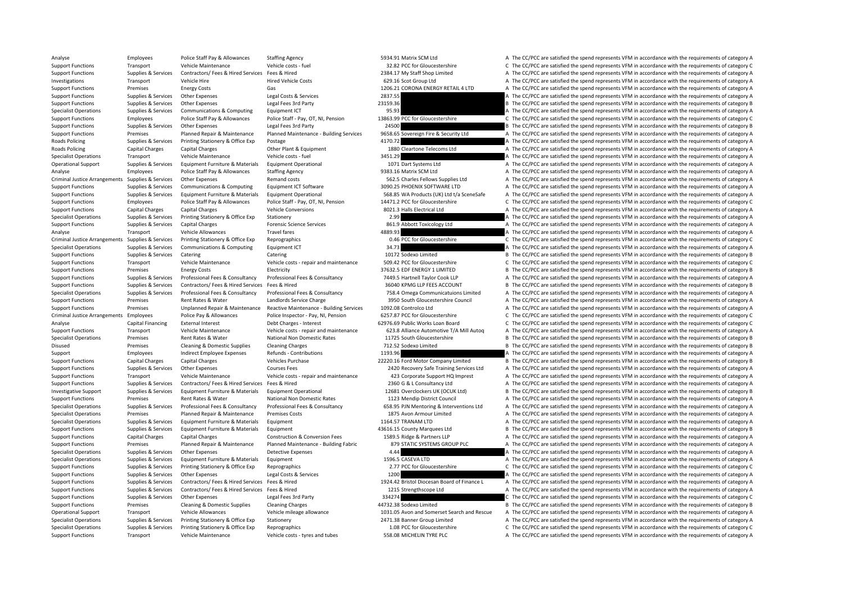Analyse Employees Police Staff Pay & Allowances Staffing Agency 5934.91 Matrix SCM Ltd A The CC/PCC are satisfied the spend represents VFM in accordance with the requirements of category A Support Functions Transport Vehicle Maintenance Vehicle costs - fuel 32.82 PCC for Gloucestershire C The CC/PCC are satisfied the spend represents VFM in accordance with the requirements of category C Support Functions Supplies & Services Contractors/ Fees & Hired Services Fees & Hired 2384.17 My Staff Shop Limited A The CC/PCC are satisfied the spend represents VFM in accordance with the requirements of category A Investigations Transport Vehicle Hire Hired Vehicle Costs Hired Vehicle Costs 629.16 Scot Group Ltd A The CC/PCC are satisfied the spend represents VFM in accordance with the requirements of category A Support Functions Premises Energy Costs Gas Gas 1206.21 CORONA ENERGY RETAIL 4 LTD A The CC/PCC are satisfied the spend represents VFM in accordance with the requirements of category A Support Functions Supplies & Services Other Expenses Legal Costs & Services 2837.55 A The CC/PCC are satisfied the spend represents VFM in accordance with the requirements of category A Support Functions Support Contrast Support Contrast Contrast Contrast Contrast Contrast Contrast Contrast Contrast Contrast Contrast Contrast Contrast Contrast Contrast Contrast Contrast Contrast Contrast Contrast Contrast Specialist Operations Supplies & Services Communications & Computing Equipment ICT 95.93 95.93 A The CC/PCC are satisfied the spend represents VFM in accordance with the requirements of category A Support Functions Employees Police Staff Pay & Allowances Police Staff - Pay, OT, NI, Pension 13863.99 PCC for Gloucestershire C The CC/PCC are satisfied the spend represents VFM in accordance with the requirements of cate Support Functions Supplies & Services Other Expenses Legal Fees 3rd Party 24500 24500 24500 B The CC/PCC are satisfied the spend represents VFM in accordance with the requirements of category B<br>Support Functions Premises P Support Functions Premises Planned Repair & Maintenance Planned Maintenance - Building Services 9658.65 Sovereign Fire & Security Ltd A The CC/PCC are satisfied the spend represents VFM in accordance with the requirements Roads Policing Supplies & Services Printing Stationery & Office Exp Postage 4170.72 4170.72 A The CC/PCC are satisfied the spend represents VFM in accordance with the requirements of category A Roads Policing Capital Charges Capital Charges Other Plant & Equipment 1880 Cleartone Telecoms Ltd A The CC/PCC are satisfied the spend represents VFM in accordance with the requirements of category A Specialist Operations Transport Vehicle Maintenance Vehicle costs - fuel 3451.29 3451.29 A The CC/PCC are satisfied the spend represents VFM in accordance with the requirements of category A Operational Support Support Support Support Equipment Furniture & Materials Equipment Operational 1071 Dart Systems Ltd A The CC/PCC are satisfied the spend represents VFM in accordance with the requirements of category A Analyse Employees Police Staff Pay & Allowances Staffing Agency 9383.16 Matrix SCM Ltd A The CC/PCC are satisfied the spend represents VFM in accordance with the requirements of category A Criminal Justice Arrangements Supplies & Services Other Expenses Remand costs Remand costs 562.5 Charles Fellows Supplies Ltd A The CC/PCC are satisfied the spend represents VFM in accordance with the requirements of categ Support Functions Supplies & Services Communications & Computing Equipment ICT Software 3090.25 PHOENIX SOFTWARE LTD A The CC/PCC are satisfied the spend represents VFM in accordance with the requirements of category A Support Functions Supporters & Services Equipment Furniture & Materials Equipment Operational 568.85 WA Products (UK) Ltd t/a SceneSafe A The CC/PCC are satisfied the spend represents VFM in accordance with the requirement Support Functions Employees Police Staff Pay & Allowances Police Staff - Pay, OT, NI, Pension 14471.2 PCC for Gloucestershire C The CC/PCC are satisfied the spend represents VFM in accordance with the requirements of categ Support Functions Capital Charges Capital Charges Vehicle Conversions 8021.3 Halls Electrical Ltd A The CC/PCC are satisfied the spend represents VFM in accordance with the requirements of category A Specialist Operations Supplies & Services Printing Stationery & Office Exp Stationery Stationery 2.99 A The CC/PCC are satisfied the spend represents VFM in accordance with the requirements of category A Support Functions Supplies & Services Capital Charges Forensic Science Services 861.9 Abbott Toxicology Ltd A The CC/PCC are satisfied the spend represents VFM in accordance with the requirements of category A Analyse Transport Vehicle Allowances Travel fares Travel fares 4889.93 A The CC/PCC are satisfied the spend represents VFM in accordance with the requirements of category A Criminal Justice Arrangements Supplies & Services Printing Stationery & Office Exp Reprographics exp Reprographics and the Supplies of category C The CC/PCC are satisfied the spend represents VFM in accordance with the req Specialist Operations Supplies & Services Communications & Computing Equipment ICT 34.73 34.73 A The CC/PCC are satisfied the spend represents VFM in accordance with the requirements of category A Support Functions Supplies & Services Catering Catering Catering Catering Catering Catering Catering Catering 10172 Sodexo Limited B The CC/PCC are satisfied the spend represents VFM in accordance with the requirements of Support Functions Transport Vehicle Maintenance Vehicle costs - repair and maintenance 509.42 PCC for Gloucestershire C The CC/PCC are satisfied the spend represents VFM in accordance with the requirements of category C Support Functions Premises Energy Costs Electricity Electricity and B TO 37632.5 EDF ENERGY 1 LIMITED B The CC/PCC are satisfied the spend represents VFM in accordance with the requirements of category B Support Functions Supplies & Services Professional Fees & Consultancy Professional Fees & Consultancy Professional Fees & Consultancy Professional Fees & Consultancy Professional Fees & Consultancy 7449.5 Hartnell Taylor C Support Functions Supplies & Services Contractors/ Fees & Hired Services Fees & Hired 36040 KPMG LLP FEES ACCOUNT B The CC/PCC are satisfied the spend represents VFM in accordance with the requirements of category B Supplies & Services Professional Fees & Consultancy Professional Fees & Consultancy Professional Fees & Consultancy Professional Fees & Consultancy 758.4 Omega Communicatulons Limited A The CC/PCC are satisfied the spend r Support Functions Premises Rent Rates & Water Landlords Service Charge 3950 South Gloucestershire Council A The CC/PCC are satisfied the spend represents VFM in accordance with the requirements of category A Support Functions Premises Unplanned Repair & Maintenance Reactive Maintenance - Building Services 1092.08 Controlco Ltd A The CC/PCC are satisfied the spend represents VFM in accordance with the requirements of category A Criminal Justice Arrangements Employees Police Pay & Allowances Police Inspector - Pay, NI, Pension 6257.87 PCC for Gloucestershire C The CC/PCC are satisfied the spend represents VFM in accordance with the requirements of Analyse Capital Financing External Interest Debt Charges - Interest Debt Charges - Interest 62976.69 Public Works Loan Board C The CC/PCC are satisfied the spend represents VFM in accordance with the requirements of catego Support Functions Transport Vehicle Maintenance Vehicle costs - repair and maintenance 623.8 Alliance Automotive T/A Mill Auton A The CC/PCC are satisfied the spend represents VFM in accordance with the requirements of cat Specialist Operations Premises Rent Rates Rent Rates National Non Domestic Rates 11725 South Gloucestershire B The CC/PCC are satisfied the spend represents VFM in accordance with the requirements of category B Disused Premises Cleaning & Domestic Supplies Cleaning Charges 712.52 Sodexo Limited B The CC/PCC are satisfied the spend represents VFM in accordance with the requirements of category B Support Employees Indirect Employee Expenses Refunds - Contributions 1193.96 A The CC/PCC are satisfied the spend represents VFM in accordance with the requirements of category A Support Functions Capital Charges Capital Charges Vehicles Purchase Vehicles Purchase 22220.16 Ford Motor Company Limited B The CC/PCC are satisfied the spend represents VFM in accordance with the requirements of category Support Functions Supplies & Services Other Expenses Courses Fees 2420 Recovery Safe Training Services Ltd A The CC/PCC are satisfied the spend represents VFM in accordance with the requirements of category A Support Functions Transport Vehicle Maintenance Vehicle costs - repair and maintenance 423 Corporate Support HQ Imprest A The CC/PCC are satisfied the spend represents VFM in accordance with the requirements of category A Support Functions Supplies & Services Contractors/ Fees & Hired Services Fees & Hired Services Fees & Hired Services Fees & Hired Services Fees & Hired 2360 G & L Consultancy Ltd A The CC/PCC are satisfied the spend repres Investigative Support Supplies & Services Equipment Furniture & Materials Equipment Operational 12681 Overclockers UK (OCUK Ltd) B The CC/PCC are satisfied the spend represents VFM in accordance with the requirements of ca Support Functions Premises Rent Rates & Water National Non Domestic Rates 1123 Mendip District Council A The CC/PCC are satisfied the spend represents VFM in accordance with the requirements of category A Supplies & Services Professional Fees & Consultancy Professional Fees & Consultancy Professional Fees & Consultancy Professional Fees & Consultancy Professional Fees & Consultancy Professional Fees & Consultancy 658.95 PJN Specialist Operations Premises Planned Repair & Maintenance Premises Costs 1875 Avon Armour Limited A The CC/PCC are satisfied the spend represents VFM in accordance with the requirements of category A Specialist Operations Supplies & Services Equipment Furniture & Materials Equipment 1164.57 TRANAM LTD A The CC/PCC are satisfied the spend represents VFM in accordance with the requirements of category A Support Functions Supplies & Services Equipment Furniture & Materials Equipment 43616.15 County Marquees Ltd B The CC/PCC are satisfied the spend represents VFM in accordance with the requirements of category B Support Functions Capital Charges Capital Charges Construction & Conversion Fees 1589.5 Ridge & Partners LLP A The CC/PCC are satisfied the spend represents VFM in accordance with the requirements of category A Support Functions Premises Planned Repair & Maintenance Planned Maintenance - Building Fabric 879 STATIC SYSTEMS GROUP PLC A The CC/PCC are satisfied the spend represents VFM in accordance with the requirements of category Specialist Operations Supplies & Services Other Expenses Detective Expenses Detective Expenses 4.44 A The CC/PCC are satisfied the spend represents VFM in accordance with the requirements of category A Specialist Operations Supplies & Services Equipment Furniture & Materials Equipment 1596.5 CASEVA LTD A The CC/PCC are satisfied the spend represents VFM in accordance with the requirements of category A Support Functions Supplies & Services Printing Stationery & Office Exp Reprographics Reprographics 2.77 PCC for Gloucestershire C The CC/PCC are satisfied the spend represents VFM in accordance with the requirements of cat Support Functions Supplies & Services Other Expenses Legal Costs & Services 1200 1200 A The CC/PCC are satisfied the spend represents VFM in accordance with the requirements of category A Support Functions Supplies & Services Contractors/ Fees & Hired Services Fees & Hired Services Fees & Hired Services Fees & Hired Services Fees & Hired Services Fees & Hired Services Pees & Hired Services Pees & Hired Serv Support Functions Supplies & Services Contractors/ Fees & Hired Services Fees & Hired 1215 Strengthscope Ltd A The CC/PCC are satisfied the spend represents VFM in accordance with the requirements of category A Support Functions Supplies & Services Other Expenses Legal Fees 3rd Party 1992 C 334274 C The CC/PCC are satisfied the spend represents VFM in accordance with the requirements of category C Support Functions Premises Cleaning & Domestic Supplies Cleaning Charges 44732.38 Sodexo Limited B The CC/PCC are satisfied the spend represents VFM in accordance with the requirements of category B Operational Support Transport Vehicle Allowances Vehicle mileage allowance Vehicle mileage allowance Vehicle mileage allowance 1031.05 Avon and Somerset Search and Rescue A The CC/PCC are satisfied the spend represents VFM Specialist Operations Supplies & Services Printing Stationery & Office Exp Stationery stationery 2471.38 Banner Group Limited A The CC/PCC are satisfied the spend represents VFM in accordance with the requirements of categ Specialist Operations Supplies & Services Printing Stationery & Office Exp Reprographics exp Reprographics 1.08 PCC for Gloucestershire C The CC/PCC are satisfied the spend represents VFM in accordance with the requirement Support Functions Transport Vehicle Maintenance Vehicle costs - tyres and tubes 558.08 MICHELIN TYRE PLC A The CC/PCC are satisfied the spend represents VFM in accordance with the requirements of category A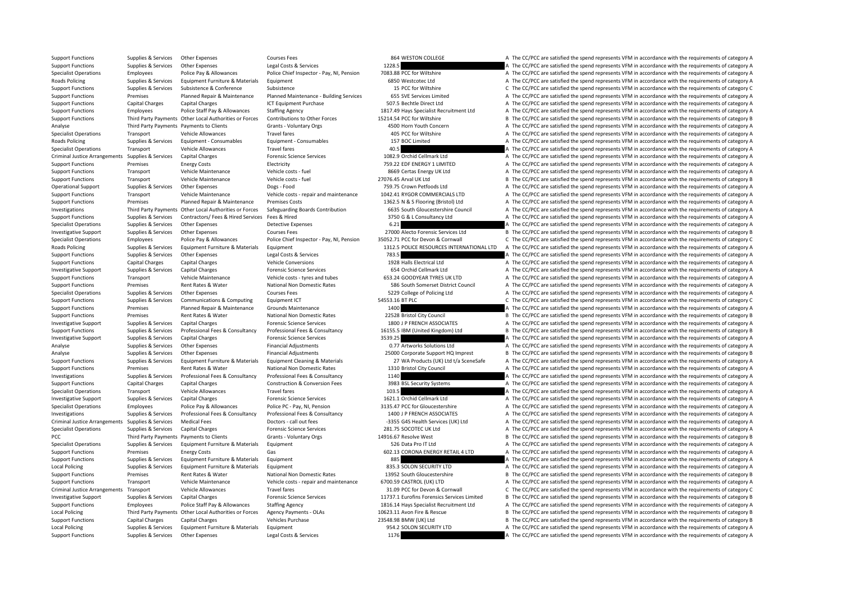Support Functions Supplies & Services Other Expenses Courses Fees 864 WESTON COLLEGE A The CC/PCC are satisfied the spend represents VFM in accordance with the requirements of category A Support Functions Supplies & Services Other Expenses Legal Costs & Services 1228.5 A The CC/PCC are satisfied the spend represents VFM in accordance with the requirements of category A Specialist Operations Employees Police Pay & Allowances Police Chief Inspector - Pay, NI, Pension 7083.88 PCC for Wiltshire The CC/PCC are satisfied the spend represents VFM in accordance with the requirements of category Roads Policing Supplies & Services Equipment Furniture & Materials Equipment 6850 Westcotec Ltd A The CC/PCC are satisfied the spend represents VFM in accordance with the requirements of category A Support Functions Supplies & Services Subsistence & Conference Subsistence Subsistence Subsistence Subsistence Subsistence C The CC/PCC are satisfied the spend represents VFM in accordance with the requirements of category Support Functions Premises Planned Repair & Maintenance Planned Maintenance - Building Services 655 SVE Services Limited A The CC/PCC are satisfied the spend represents VFM in accordance with the requirements of category A Support Functions Capital Charges Capital Charges ICT Equipment Purchase 507.5 Bechtle Direct Ltd A The CC/PCC are satisfied the spend represents VFM in accordance with the requirements of category A Support Functions Employees Police Staff Pay & Allowances Staffing Agency 1817.49 Hays Specialist Recruitment Ltd A The CC/PCC are satisfied the spend represents VFM in accordance with the requirements of category A Support Functions Third Party Payments Other Local Authorities or Forces Contributions to Other Forces 15214.54 PCC for Willtshire B The CC/PCC are satisfied the spend represents VFM in accordance with the requirements of Analyse Third Party Payments Payments to Clients Grants - Voluntary Orgs 4500 Horn Youth Concern A The CC/PCC are satisfied the spend represents VFM in accordance with the requirements of category A Specialist Operations Transport Vehicle Allowances Travel fares Travel fares A The CC/PCC are satisfied the spend represents VFM in accordance with the requirements of category A Roads Policing Supplies & Services Equipment • Consumables Equipment • Consumables Equipment • Consumables 157 BOC Limited A The CC/PCC are satisfied the spend represents VFM in accordance with the requirements of category Specialist Operations Transport Vehicle Allowances Travel fares Travel fares 40.5 A The CC/PCC are satisfied the spend represents VFM in accordance with the requirements of category A Criminal Justice Arrangements Supplies & Services Capital Charges Capital Charges Forensic Science Services 1082.9 Orchid Cellmark Ltd A The CC/PCC are satisfied the spend represents VFM in accordance with the requirements Support Functions Premises Energy Costs Electricity Electricity TS9.22 EDF ENERGY 1 LIMITED A The CC/PCC are satisfied the spend represents VFM in accordance with the requirements of category A Support Functions Transport Vehicle Maintenance Vehicle costs - fuel 8669 Certas Energy UK Ltd A The CC/PCC are satisfied the spend represents VFM in accordance with the requirements of category A Support Functions Transport Vehicle Maintenance Vehicle costs - fuel 27076.45 Arval UK Ltd B The CC/PCC are satisfied the spend represents VFM in accordance with the requirements of category B Operational Support Supplies & Services Other Expenses Dogs - Food 759.75 Crown Petfoods Ltd A The CC/PCC are satisfied the spend represents VFM in accordance with the requirements of category A Support Functions Transport Vehicle Maintenance Vehicle costs - repair and maintenance 1042.41 RYGOR COMMERCIALS LTD A The CC/PCC are satisfied the spend represents VFM in accordance with the requirements of category A Support Functions Premises Planned Repair & Maintenance Premises Costs 1362.5 N & S Flooring (Bristol) Ltd A The CC/PCC are satisfied the spend represents VFM in accordance with the requirements of category A Investigations Third Party Payments Other Local Authorities or Forces Safeguarding Boards Contribution 6635 South Gloucestershire Council A The CC/PCC are satisfied the spend represents VFM in accordance with the requireme Support Functions Supplies & Services Contractors/ Fees & Hired Services Fees & Hired Services Fees & Hired 3750 G & L Consultancy Ltd A The CC/PCC are satisfied the spend represents VFM in accordance with the requirements Specialist Operations Supplies & Services Other Expenses Detective Expenses Detective Expenses Detective Expenses 6.21 A The CC/PCC are satisfied the spend represents VFM in accordance with the requirements of category A Investigative Support Supplies & Services Other Expenses Courses Fees 27000 Alecto Forensic Services Ltd B The CC/PCC are satisfied the spend represents VFM in accordance with the requirements of category B Specialist Operations Employees Police Pay & Allowances Police Chief Inspector - Pay, NI, Pension 35052.71 PCC for Devon & Cornwall C The CC/PCC are satisfied the spend represents VFM in accordance with the requirements of Roads Policing Supplies & Services Equipment Furniture & Materials Equipment 1312.5 POLICE RESOURCES INTERNATIONAL LTD A The CC/PCC are satisfied the spend represents VFM in accordance with the requirements of category A Support Functions Supplies & Services Other Expenses Legal Costs & Services 783.5 A The CC/PCC are satisfied the spend represents VFM in accordance with the requirements of category A Support Functions Capital Charges Capital Charges Vehicle Conversions 1928 Halls Electrical Ltd A The CC/PCC are satisfied the spend represents VFM in accordance with the requirements of category A Investigative Support Supplies & Services Capital Charges **Forensic Science Services** 654 Orchid Cellmark Ltd A The CC/PCC are satisfied the spend represents VFM in accordance with the requirements of category A Support Functions Transport Vehicle Maintenance Vehicle costs - tyres and tubes 653.24 GOODYEAR TYRES UK LTD A The CC/PCC are satisfied the spend represents VFM in accordance with the requirements of category A Support Functions Premises Rent Rates & Water National Non Domestic Rates 586 South Somerset District Council A The CC/PCC are satisfied the spend represents VFM in accordance with the requirements of category A Specialist Operations Supplies & Services Other Expenses Courses Fees Courses Fees 5229 College of Policing Ltd A The CC/PCC are satisfied the spend represents VFM in accordance with the requirements of category A Support Functions Supplies & Services Communications & Computing Equipment ICT 54553.16 BT PLC 5553.16 BT PLC C The CC/PCC are satisfied the spend represents VFM in accordance with the requirements of category C Support Functions Premises Planned Repair & Maintenance Grounds Maintenance 1400 A The CC/PCC are satisfied the spend represents VFM in accordance with the requirements of category A Support Functions Premises Rent Rates & Water National Non Domestic Rates 22528 Bristol City Council B The CC/PCC are satisfied the spend represents VFM in accordance with the requirements of category B Investigative Support Supplies & Services Capital Charges Forensic Science Services Forensic Science Services 1800 J P FRENCH ASSOCIATES A The CC/PCC are satisfied the spend represents VFM in accordance with the requiremen Support Functions Support Support Support Professional Fees & Consultancy Professional Fees & Consultancy Professional Fees & Consultancy Professional Fees & Consultancy 16155.5 IBM (United Kingdom) Itd B The CC/PCC are sa Investigative Support Support Supporters Capital Charges Support Support Support Services Capital Charges Services Services 3539.25 A The CC/PCC are satisfied the spend represents VFM in accordance with the requirements of Analyse Supplies & Services Other Expenses Financial Adjustments Financial Adjustments 0.77 Artworks Solutions Ltd A The CC/PCC are satisfied the spend represents VFM in accordance with the requirements of category A Analyse Supplies & Services Other Expenses Financial Adjustments 25000 Corporate Support HQ Imprest B The CC/PCC are satisfied the spend represents VFM in accordance with the requirements of category B Support Functions Supplies & Services Equipment Furniture & Materials Equipment Cleaning & Materials Anterials 27 WA Products (UK) Ltd t/a SceneSafe A The CC/PCC are satisfied the spend represents VFM in accordance with th Support Functions Premises Rent Rates & Water National Non Domestic Rates 1310 Bristol City Council A The CC/PCC are satisfied the spend represents VFM in accordance with the requirements of category A Investigations Supplies & Services Professional Fees & Consultancy Professional Fees & Consultancy A The CC/PCC are satisfied the spend represents VFM in accordance with the requirements of category A Support Functions Capital Charges Capital Charges Construction & Conversion Fees 3983 BSL Security Systems A The CC/PCC are satisfied the spend represents VFM in accordance with the requirements of category A Specialist Operations Transport Vehicle Allowances Travel fares Travel fares 103.5 A The CC/PCC are satisfied the spend represents VFM in accordance with the requirements of category A Chestigative Supplies A Services Capi Investigative Support Supplies & Services Capital Charges Forensic Science Services Forensic Science Services 1621.1 Orchid Cellmark Ltd A The CC/PCC are satisfied the spend represents VFM in accordance with the requiremen Specialist Operations Employees Police Pay & Allowances Police PC - Pay, NI, Pension 3135.47 PCC for Gloucestershire A The CC/PCC are satisfied the spend represents VFM in accordance with the requirements of category A Investigations Supplies & Services Professional Fees & Consultancy Professional Fees & Consultancy Professional Fees & Consultancy Professional Fees & Consultancy 1400 JP FRENCH ASSOCIATES A The CC/PCC are satisfied the sp Criminal Justice Arrangements Supplies & Services Medical Fees Doctors - call out fees Doctors - call out fees -3355 G4S Health Services (UK) Ltd A The CC/PCC are satisfied the spend represents VFM in accordance with the r Specialist Operations Supplies & Services Capital Charges Forensic Science Services 281.75 SOCOTEC UK Itd A The CC/PCC are satisfied the spend represents VFM in accordance with the requirements of category A PCC Third Party Payments Payments Oclients Grants - Voluntary Orgs 14916.67 Resolve West B The CC/PCC are satisfied the spend represents VFM in accordance with the requirements of category B Specialist Operations Supplies & Services Equipment Furniture & Materials Equipment Furniture & Materials Equipment Supplies A The CC/PCC are satisfied the spend represents VFM in accordance with the requirements of catego Support Functions Premises Energy Costs Gas Gas Gas 602.13 CORONA ENERGY RETAIL 4 LTD A The CC/PCC are satisfied the spend represents VFM in accordance with the requirements of category A Support Functions Supplies & Services Equipment Furniture & Materials Equipment Burniture and Sas A The CC/PCC are satisfied the spend represents VFM in accordance with the requirements of category A Local Policing Supplies & Services Equipment Furniture & Materials Equipment 835.3 SOLON SECURITY LTD A The CC/PCC are satisfied the spend represents VFM in accordance with the requirements of category A Support Functions Premises Rent Rates & Water National Non Domestic Rates 13952 South Gloucestershire B The CC/PCC are satisfied the spend represents VFM in accordance with the requirements of category B Support Functions Transport Vehicle Maintenance Vehicle costs - repair and maintenance 6700.59 CASTROL (UK) LTD A The CC/PCC are satisfied the spend represents VFM in accordance with the requirements of category A Criminal Justice Arrangements Transport Vehicle Allowances Travel fares Travel fares 31.09 PCC for Devon & Cornwall C The CC/PCC are satisfied the spend represents VFM in accordance with the requirements of category C Investigative Support Supplies & Services Capital Charges Coreas Forensic Science Services and the Support Support Support Support Support Support Support Support Support Support Public Staff Pay & Allowances Staffing Agen Support Functions Employees Police Staff Pay & Allowances Staffing Agency 1816.14 Hays Specialist Recruitment Ltd A The CC/PCC are satisfied the spend represents VFM in accordance with the requirements of category A Local Policing Third Party Payments Other Local Authorities or Forces Agency Payments - OLAs 10623.11 Avon Fire & Rescue B The CC/PCC are satisfied the spend represents VFM in accordance with the requirements of category B Support Functions Capital Charges Capital Charges Vehicles Purchase Vehicles Purchase 23548.98 BMW (UK) Ltd B The CC/PCC are satisfied the spend represents VFM in accordance with the requirements of category B Local Policing Supplies & Services Equipment Furniture & Materials Equipment 954.2 SOLON SECURITY LTD A The CC/PCC are satisfied the spend represents VFM in accordance with the requirements of category A Support Functions Supplies & Services Other Expenses Legal Costs & Services 1176 1176 A The CC/PCC are satisfied the spend represents VFM in accordance with the requirements of category A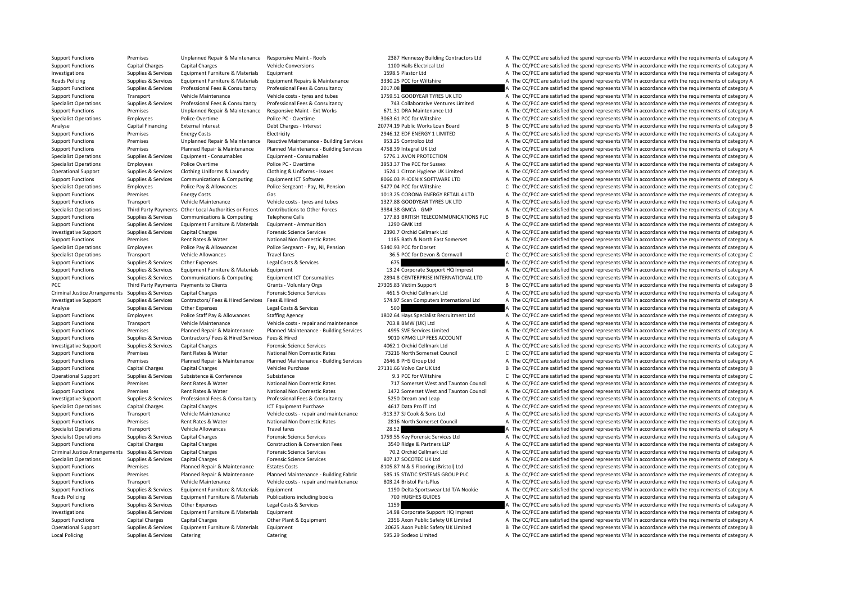Local Policing Supplies & Services Catering Catering 595.29 Sodexo Limited A The CC/PCC are satisfied the spend represents VFM in accordance with the requirements of category A

Support Functions Premises Unplanned Repair & Maintenance Responsive Maint - Roofs 2387 Hennessy Building Contractors Ltd A The CC/PCC are satisfied the spend represents VFM in accordance with the requirements of category Support Functions Capital Charges Capital Charges Vehicle Conversions Vehicle Conversions 1100 Halls Electrical Ltd A The CC/PCC are satisfied the spend represents VFM in accordance with the requirements of category A Investigations Supplies & Services Equipment Furniture & Materials Equipment 1598.5 Plastor Ltd A The CC/PCC are satisfied the spend represents VFM in accordance with the requirements of category A Roads Policing Supplies & Services Equipment Furniture & Materials Equipment Repairs & Maintenance 3330.25 PCC for Wiltshire A The CC/PCC are satisfied the spend represents VFM in accordance with the requirements of catego Support Functions Supplies & Services Professional Fees & Consultancy Professional Fees & Consultancy 2017.08 A The CC/PCC are satisfied the spend represents VFM in accordance with the requirements of category A Support Functions Transport Vehicle Maintenance Vehicle costs - tyres and tubes 1759.51 GOODYEAR TYRES UK LTD A The CC/PCC are satisfied the spend represents VFM in accordance with the requirements of category A Superialist Operations Suppliers Services Professional Fees & Consultancy Professional Fees & Consultancy Professional Fees & Consultancy 743 Collaborative Ventures Limited A The CC/PCC are satisfied the spend represents V Support Functions Premises Unplanned Repair & Maintenance Responsive Maint - Ext Works 671.31 DRA Maintenance Ltd A The CC/PCC are satisfied the spend represents VFM in accordance with the requirements of category A Specialist Operations Employees Police Overtime Police PC - Overtime Police PC - Overtime 3063.61 PCC for Wiltshire A The CC/PCC are satisfied the spend represents VFM in accordance with the requirements of category A Analyse Capital Financing External Interest Debt Charges - Interest Debt Charges - Interest 20774.19 Public Works Loan Board B The CC/PCC are satisfied the spend represents VFM in accordance with the requirements of catego Support Functions Premises Energy Costs Electricity Electricity 2946.12 EDF ENERGY 1 LIMITED A The CC/PCC are satisfied the spend represents VFM in accordance with the requirements of category A Support Functions Premises Unplanned Repair & Maintenance Reactive Maintenance - Building Services 953.25 Controlco Ltd A The CC/PCC are satisfied the spend represents VFM in accordance with the requirements of category A Support Functions Premises Planned Repair & Maintenance Planned Maintenance - Building Services 4758.39 Integral UK Itd A The CC/PCC are satisfied the spend represents VFM in accordance with the requirements of category A Specialist Operations Supplies & Services Equipment • Consumables Equipment • Consumables Equipment • Consumables Equipment • Consumables 5776.1 AVON PROTECTION A The CC/PCC are satisfied the spend represents VFM in accord Specialist Operations Employees Police Overtime Police PC - Overtime Police PC - Overtime 3953.37 The PCC for Sussex A The CC/PCC are satisfied the spend represents VFM in accordance with the requirements of category A Operational Support Support Supporters Services Clothing Uniforms & Laundry Clothing & Uniforms - Issues 1524.1 Citron Hygiene UK Limited A The CC/PCC are satisfied the spend represents VFM in accordance with the requireme Support Functions Supplies & Services Communications & Computing Equipment ICT Software 8066.03 PHOENIX SOFTWARE LTD A The CC/PCC are satisfied the spend represents VFM in accordance with the requirements of category A Specialist Operations Employees Police Pay & Allowances Police Sergeant - Pay, NI, Pension 5477.04 PCC for Wiltshire C The CC/PCC are satisfied the spend represents VFM in accordance with the requirements of category C Support Functions Premises Energy Costs Gas Gas 1013.25 CORONA ENERGY RETAIL 4 LTD A The CC/PCC are satisfied the spend represents VFM in accordance with the requirements of category A Support Functions Transport Vehicle Maintenance Vehicle costs - tyres and tubes 1327.88 GOODYEAR TYRES UK LTD A The CC/PCC are satisfied the spend represents VFM in accordance with the requirements of category A Specialist Operations Third Party Payments Other Local Authorities or Forces Contributions to Other Forces 3984.38 GMCA - GMP A The CC/PCC are satisfied the spend represents VFM in accordance with the requirements of categ Support Functions Supplies & Services Communications & Computing Telephone Calls 177.83 BRITISH TELECOMMUNICATIONS PLC B The CC/PCC are satisfied the spend represents VFM in accordance with the requirements of category B Support Functions Supplies & Services Equipment Furniture & Materials Equipment - Ammunition 1290 GMK Ltd A The CC/PCC are satisfied the spend represents VFM in accordance with the requirements of category A Investigative Support Supplies & Services Capital Charges Forensic Science Services 2390.7 Orchid Cellmark Ltd A The CC/PCC are satisfied the spend represents VFM in accordance with the requirements of category A Support Functions Premises Rent Rates & Water National Non Domestic Rates 1185 Bath & North East Somerset A The CC/PCC are satisfied the spend represents VFM in accordance with the requirements of category A Specialist Operations Employees Police Pay & Allowances Police Sergeant - Pay, NI, Pension 5340.93 PCC for Dorset A The CC/PCC are satisfied the spend represents VFM in accordance with the requirements of category A Specialist Operations Transport Vehicle Allowances Travel fares Travel fares 36.5 PCC for Devon & Cornwall C The CC/PCC are satisfied the spend represents VFM in accordance with the requirements of category C Support Functions Supplies & Services Other Expenses Legal Costs & Services 675 675 A The CC/PCC are satisfied the spend represents VFM in accordance with the requirements of category A Support Functions Supplies & Services Equipment Furniture & Materials Equipment 13.24 Corporate Support HQ Imprest A The CC/PCC are satisfied the spend represents VFM in accordance with the requirements of category A Support Functions Supplies & Services Communications & Computing Equipment ICT Consumables 2894.8 CENTERPRISE INTERNATIONAL LTD A The CC/PCC are satisfied the spend represents VFM in accordance with the requirements of cat PCC Third Party Payments Payments Clients Grants - Voluntary Orgs 27305.83 Victim Support B The CC/PCC are satisfied the spend represents VFM in accordance with the requirements of category B Criminal Justice Arrangements Supplies & Services Capital Charges Forensic Science Services 461.5 Orchid Cellmark Ltd A The CC/PCC are satisfied the spend represents VFM in accordance with the requirements of category A Investigative Support Support Supporter Supporters Contractors/ Fees & Hired Services Fees & Hired Supporters Hired Supporters Standard Supporters International Ltd A The CC/PCC are satisfied the spend represents VFM in ac Analyse Supplies & Services Other Expenses Legal Costs & Services 500 A The CC/PCC are satisfied the spend represents VFM in accordance with the requirements of category A Support Functions Employees Police Staff Pay & Allowances Staffing Agency 1802.64 Hays Specialist Recruitment Ltd A The CC/PCC are satisfied the spend represents VFM in accordance with the requirements of category A Support Functions Transport Vehicle Maintenance Vehicle costs - repair and maintenance 703.8 BMW (UK) Ltd A The CC/PCC are satisfied the spend represents VFM in accordance with the requirements of category A Support Functions Premises Planned Repair & Maintenance Planned Maintenance - Building Services 4995 SVE Services Limited A The CC/PCC are satisfied the spend represents VFM in accordance with the requirements of category Support Functions Supplies & Services Contractors/ Fees & Hired Services Fees & Hired 9010 KPMG LLP FEES ACCOUNT A The CC/PCC are satisfied the spend represents VFM in accordance with the requirements of category A Investigative Support Supplies & Services Capital Charges Forensic Science Services Forensic Science Services 4062.1 Orchid Cellmark Ltd A The CC/PCC are satisfied the spend represents VFM in accordance with the requiremen Support Functions Premises Rent Rates & Water National Non Domestic Rates 73216 North Somerset Council C The CC/PCC are satisfied the spend represents VFM in accordance with the requirements of category C Support Functions Premises Planned Repair & Maintenance Planned Maintenance - Building Services 2646.8 PHS Group Ltd A The CC/PCC are satisfied the spend represents VFM in accordance with the requirements of category A Support Functions Capital Charges Capital Charges Vehicles Purchase Vehicles Purchase 27131.66 Volvo Car UK Ltd B The CC/PCC are satisfied the spend represents VFM in accordance with the requirements of category B Operational Support Supplies & Services Subsistence & Conference Subsistence Subsistence 9.3 PCC for Wiltshire 9.2 PCC for Wiltshire C The CC/PCC are satisfied the spend represents VFM in accordance with the requirements o Support Functions Premises Rent Rates & Water National Non Domestic Rates 717 Somerset West and Taunton Council A The CC/PCC are satisfied the spend represents VFM in accordance with the requirements of category A Support Functions Premises Rent Rates & Water National Non Domestic Rates 1472 Somerset West and Taunton Council A The CC/PCC are satisfied the spend represents VFM in accordance with the requirements of category A Investigative Support Supplies & Services Professional Fees & Consultancy Professional Fees & Consultancy Professional Fees & Consultancy Professional Fees & Consultancy Professional Fees & Consultancy 5250 Dream and Leap Specialist Operations Capital Charges Capital Charges ICT Equipment Purchase 4617 Data Pro IT Ltd A The CC/PCC are satisfied the spend represents VFM in accordance with the requirements of category A Support Functions Transport Vehicle Maintenance Vehicle costs - repair and maintenance -913.37 SJ Cook & Sons Ltd A The CC/PCC are satisfied the spend represents VFM in accordance with the requirements of category A Support Functions Premises Rent Rates & Water National Non Domestic Rates 2816 North Somerset Council A The CC/PCC are satisfied the spend represents VFM in accordance with the requirements of category A Specialist Operations Transport Vehicle Allowances Travel fares 28.52 28.52 A The CC/PCC are satisfied the spend represents VFM in accordance with the requirements of category A Specialist Operations Supplies & Services Capital Charges Forensic Science Services 1759.55 Key Forensic Services Ltd A The CC/PCC are satisfied the spend represents VFM in accordance with the requirements of category A Support Functions Capital Charges Capital Charges Construction & Conversion Fees 3540 Ridge & Partners LLP A The CC/PCC are satisfied the spend represents VFM in accordance with the requirements of category A Criminal Justice Arrangements Supplies & Services Capital Charges Forensic Science Services 70.2 Orchid Cellmark Ltd A The CC/PCC are satisfied the spend represents VFM in accordance with the requirements of category A Specialist Operations Supplies & Services Capital Charges Forensic Science Services Forensic Science Services 807.17 SOCOTEC UK Ltd A The CC/PCC are satisfied the spend represents VFM in accordance with the requirements of Support Functions Premises Planned Repair & Maintenance Estates Costs 8105.87 N & S Flooring (Bristol) Ltd A The CC/PCC are satisfied the spend represents VFM in accordance with the requirements of category A Support Functions Premises Planned Repair & Maintenance Planned Maintenance - Building Fabric 585.15 STATIC SYSTEMS GROUP PLC A The CC/PCC are satisfied the spend represents VFM in accordance with the requirements of categ Support Functions Transport Vehicle Maintenance Vehicle costs - repair and maintenance 803.24 Bristol PartsPlus A The CC/PCC are satisfied the spend represents VFM in accordance with the requirements of category A Support Functions Supplies & Services Equipment Furniture & Materials Equipment 1190 Delta Sportswear Ltd T/A Nookie A The CC/PCC are satisfied the spend represents VFM in accordance with the requirements of category A Roads Policing Supplies & Services Equipment Furniture & Materials Publications including books 700 HUGHES GUIDES A The CC/PCC are satisfied the spend represents VFM in accordance with the requirements of category A Support Functions Supplies & Services Other Expenses Legal Costs & Services 1159 1159 A The CC/PCC are satisfied the spend represents VFM in accordance with the requirements of category A Investigations Supplies & Services Equipment Furniture & Materials Equipment 14.98 Corporate Support HQ Imprest A The CC/PCC are satisfied the spend represents VFM in accordance with the requirements of category A Support Functions Capital Charges Capital Charges Other Plant & Equipment 2356 Axon Public Safety UK Limited A The CC/PCC are satisfied the spend represents VFM in accordance with the requirements of category A Operational Support Supplies & Services Equipment Furniture & Materials Equipment 20625 Axon Public Safety UK Limited B The CC/PCC are satisfied the spend represents VFM in accordance with the requirements of category B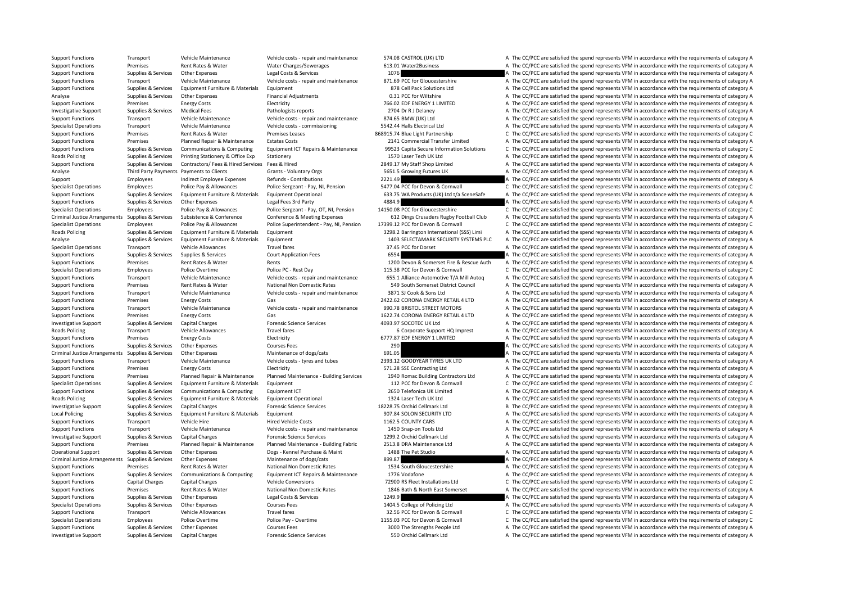Support Functions Transport Vehicle Maintenance Vehicle costs - repair and maintenance 574.08 CASTROL (UK) LTD A The CC/PCC are satisfied the spend represents VFM in accordance with the requirements of category A Support Functions Premises Rent Rates & Water Water Charges/Sewerages 613.01 Water2Business A The CC/PCC are satisfied the spend represents VFM in accordance with the requirements of category A Support Functions Supplies & Services Other Expenses Legal Costs & Services 1076 1076 A The CC/PCC are satisfied the spend represents VFM in accordance with the requirements of category A Support Functions Transport Vehicle Maintenance Vehicle costs - repair and maintenance 871.69 PCC for Gloucestershire A The CC/PCC are satisfied the spend represents VFM in accordance with the requirements of category A Support Functions Supplies & Services Equipment Furniture & Materials Equipment 878 Cell Pack Solutions Ltd A The CC/PCC are satisfied the spend represents VFM in accordance with the requirements of category A Analyse Supplies & Services Other Expenses Financial Adjustments Category A The CC/PCC are satisfied the spend represents VFM in accordance with the requirements of category A Support Functions Premises Energy Costs Functions Electricity 766.02 EDF ENERGY 1 LIMITED A The CC/PCC are satisfied the spend represents VFM in accordance with the requirements of category A Investigative Support Supplies & Services Medical Fees Pathologists reports Pathologists reports 2704 Dr R J Delaney A The CC/PCC are satisfied the spend represents VFM in accordance with the requirements of category A Support Functions Transport Vehicle Maintenance Vehicle costs - repair and maintenance 874.65 BMW (UK) Ltd A The CC/PCC are satisfied the spend represents VFM in accordance with the requirements of category A Specialist Operations Transport Vehicle Maintenance Vehicle costs - commissioning 5542.44 Halls Electrical Ltd A The CC/PCC are satisfied the spend represents VFM in accordance with the requirements of category A Support Functions Premises Rent Rates & Water Premises Leases 868915.74 Blue Light Partnership C The CC/PCC are satisfied the spend represents VFM in accordance with the requirements of category C Support Functions Premises Planned Repair & Maintenance Estates Costs 2141 Commercial Transfer Limited A The CC/PCC are satisfied the spend represents VFM in accordance with the requirements of category A Support Functions Support Support Communications & Communications & Communications Communications Communications Communications Communications Communications Communications Communications Communications (Category C. The CC Roads Policing Supplies & Services Printing Stationery & Office Exp Stationery stationery 1570 Laser Tech UK Ltd A The CC/PCC are satisfied the spend represents VFM in accordance with the requirements of category A Support Functions Supplies & Services Contractors/ Fees & Hired Services Fees & Hired 2849.17 My Staff Shop Limited A The CC/PCC are satisfied the spend represents VFM in accordance with the requirements of category A Analyse Third Party Payments Payments to Clients Samples Grants - Voluntary Orgs 5651.5 Growing Futures UK A The CC/PCC are satisfied the spend represents VFM in accordance with the requirements of category A Support Employees Indirect Employee Expenses Refunds - Contributions 2221.49 A The CC/PCC are satisfied the spend represents VFM in accordance with the requirements of category A Specialist Operations Employees Police Pay & Allowances Police Sergeant - Pay. NI. Pension 5477.04 PCC for Devon & Cornwall C The CC/PCC are satisfied the spend represents VFM in accordance with the requirements of categor Supplies & Services Equipment Furniture & Materials Equipment Operational 633.75 WA Products (UK) Ltd t/a SceneSafe A The CC/PCC are satisfied the spend represents VFM in accordance with the requirements of category A Support Functions Supplies & Services Other Expenses Legal Fees 3rd Party 4884.9 A The CC/PCC are satisfied the spend represents VFM in accordance with the requirements of category A Specialist Operations Employees Police Pay & Allowances Police Sergeant - Pay, OT, NI, Pension 14150.08 PCC for Gloucestershire C The CC/PCC are satisfied the spend represents VFM in accordance with the requirements of cat Criminal Justice Arrangements Supplies & Services Subsistence & Conference Conference Conference & Meeting Expenses 612 Dings Crusaders Rugby Football Club A The CC/PCC are satisfied the spend represents VFM in accordance Specialist Operations Employees Police Pay & Allowances Police Superintendent - Pay, NI, Pension 17399.12 PCC for Devon & Cornwall C The CC/PCC are satisfied the spend represents VFM in accordance with the requirements of Roads Policing Supplies & Services Equipment Furniture & Materials Equipment 3298.2 Barrington International (SSS) Limi A The CC/PCC are satisfied the spend represents VFM in accordance with the requirements of category A Analyse Supplies & Services Equipment Furniture & Materials Equipment 1403 SELECTAMARK SECURITY SYSTEMS PLC A The CC/PCC are satisfied the spend represents VFM in accordance with the requirements of category A Specialist Operations Transport Vehicle Allowances Travel fares 37.45 PCC for Dorset A The CC/PCC are satisfied the spend represents VFM in accordance with the requirements of category A Support Functions Supplies & Services Supplies & Services Court Application Fees 6554 6554 A The CC/PCC are satisfied the spend represents VFM in accordance with the requirements of category A Support Functions Premises Rent Rates & Water Rents Rents Rents Rescue Auth A The CC/PCC are satisfied the spend represents VFM in accordance with the requirements of category A Specialist Operations Employees Police Overtime Police PC - Rest Day Police PC - Rest Day 115.38 PCC for Devon & Cornwall C The CC/PCC are satisfied the spend represents VFM in accordance with the requirements of category Support Functions Transport Vehicle Maintenance Vehicle costs - repair and maintenance 655.1 Alliance Automotive T/A Mill Autoq A The CC/PCC are satisfied the spend represents VFM in accordance with the requirements of cat Support Functions Premises Rent Rates & Water National Non Domestic Rates 549 South Somerset District Council A The CC/PCC are satisfied the spend represents VFM in accordance with the requirements of category A Support Functions Transport Vehicle Maintenance Vehicle costs - repair and maintenance 3871 SJ Cook & Sons Ltd A The CC/PCC are satisfied the spend represents VFM in accordance with the requirements of category A Support Functions Premises Energy Costs Gas Gas Corona Energy Costs Gas 2422.62 CORONA ENERGY RETAIL 4 LTD A The CC/PCC are satisfied the spend represents VFM in accordance with the requirements of category A Support Functions Transport Vehicle Maintenance Vehicle costs - repair and maintenance 990.78 BRISTOL STREET MOTORS A The CC/PCC are satisfied the spend represents VFM in accordance with the requirements of category A Support Functions Premises Energy Costs Gas Gas Gas 1622.74 CORONA ENERGY RETAIL 4 LTD A The CC/PCC are satisfied the spend represents VFM in accordance with the requirements of category A Investigative Support Supplies & Services Capital Charges Forensic Science Services Forensic Science Services 4093.97 SOCOTEC UK Ltd A The CC/PCC are satisfied the spend represents VFM in accordance with the requirements o Roads Policing Transport Vehicle Allowances Travel fares Travel fares and the Support HQ Imprest A The CC/PCC are satisfied the spend represents VFM in accordance with the requirements of category A Support HQ Imprest A Th Support Functions Premises Energy Costs Electricity Electricity 6777.87 EDF ENERGY 1 LIMITED A The CC/PCC are satisfied the spend represents VFM in accordance with the requirements of category A Support Functions Supplies & Services Other Expenses Courses Fees 290 200 A The CC/PCC are satisfied the spend represents VFM in accordance with the requirements of category A Criminal lustice Arrangements Supplies & Servi Criminal Justice Arrangements Supplies & Services Other Expenses Maintenance of dogs/cats Maintenance Maintenance of dogs/cats 691.05 691.05 691.05 A The CC/PCC are satisfied the spend represents VFM in accordance with the Support Functions Transport Vehicle Maintenance Vehicle costs - tyres and tubes 2393.12 GOODYEAR TYRES UK LTD A The CC/PCC are satisfied the spend represents VFM in accordance with the requirements of category A Support Functions Premises Energy Costs Electricity Electricity ST1.28 SSE Contracting Ltd A The CC/PCC are satisfied the spend represents VFM in accordance with the requirements of category A Support Functions Premises Planned Repair & Maintenance Planned Maintenance - Building Services 1940 Romac Building Contractors Ltd A The CC/PCC are satisfied the spend represents VFM in accordance with the requirements of Specialist Operations Supplies & Services Equipment Furniture & Materials Equipment 112 PCC for Devon & Cornwall C The CC/PCC are satisfied the spend represents VFM in accordance with the requirements of category C Support Functions Supplies & Services Communications & Computing Equipment ICT 2650 Telefonica UK Limited A The CC/PCC are satisfied the spend represents VFM in accordance with the requirements of category A Roads Policing Supplies & Services Equipment Furniture & Materials Equipment Operational 1324 Laser Tech UK Ltd A The CC/PCC are satisfied the spend represents VFM in accordance with the requirements of category A Investigative Support Supplies & Services Capital Charges Forensic Science Services 18228.75 Orchid Cellmark Ltd B The CC/PCC are satisfied the spend represents VFM in accordance with the requirements of category B Local Policing Supplies & Services Equipment Furniture & Materials Equipment examples Equipment 907.84 SOLON SECURITY LTD A The CC/PCC are satisfied the spend represents VFM in accordance with the requirements of category Support Functions Transport Vehicle Hire Hired Vehicle Costs Hired Vehicle Costs 1162.5 COUNTY CARS A The CC/PCC are satisfied the spend represents VFM in accordance with the requirements of category A Support Functions Transport Vehicle Maintenance Vehicle costs - repair and maintenance 1450 Snap‐on Tools Ltd A The CC/PCC are satisfied the spend represents VFM in accordance with the requirements of category A Investigative Support Supplies & Services Capital Charges Forensic Science Services Forensic Science Services 1299.2 Orchid Cellmark Ltd A The CC/PCC are satisfied the spend represents VFM in accordance with the requiremen Support Functions Premises Planned Repair & Maintenance Planned Maintenance - Building Fabric 2513.8 DRA Maintenance Ltd A The CC/PCC are satisfied the spend represents VFM in accordance with the requirements of category A Operational Support Supplies & Services Other Expenses Dogs - Kennel Purchase & Maint 1488 The Pet Studio A The CC/PCC are satisfied the spend represents VFM in accordance with the requirements of category A Criminal Justice Arrangements Supplies & Services Other Expenses Maintenance of dogs/cats 899.87 889.87 A The CC/PCC are satisfied the spend represents VFM in accordance with the requirements of category A Support Functions Premises Rent Rates & Water National Non Domestic Rates 1534 South Gloucestershire A The CC/PCC are satisfied the spend represents VFM in accordance with the requirements of category A Support Functions Supplies & Services Communications & Computing Equipment ICT Repairs & Maintenance 1776 Vodafone A The CC/PCC are satisfied the spend represents VFM in accordance with the requirements of category A Support Functions Capital Charges Capital Charges Vehicle Conversions 72900 RS Fleet Installations Ltd C The CC/PCC are satisfied the spend represents VFM in accordance with the requirements of category C Support Functions Premises Rent Rates & Water National Non Domestic Rates 1846 Bath & North East Somerset A The CC/PCC are satisfied the spend represents VFM in accordance with the requirements of category A Support Functions Supplies & Services Other Expenses Legal Costs & Services 1249.9 A The CC/PCC are satisfied the spend represents VFM in accordance with the requirements of category A Specialist Operations Supplies & Services Other Expenses Courses Fees Courses Fees 1404.5 College of Policing Ltd A The CC/PCC are satisfied the spend represents VFM in accordance with the requirements of category A Support Functions Transport Vehicle Allowances Travel fares Travel fares 32.56 PCC for Devon & Cornwall C The CC/PCC are satisfied the spend represents VFM in accordance with the requirements of category C Specialist Operations Employees Police Overtime Police Pay - Overtime Police Pay - Overtime 1155.03 PCC for Devon & Cornwall C The CC/PCC are satisfied the spend represents VFM in accordance with the requirements of catego Support Functions Supplies & Services Other Expenses Courses Fees 3000 The Strengths People Ltd A The CC/PCC are satisfied the spend represents VFM in accordance with the requirements of category A Investigative Support Support Support Supporters Capital Charges Forensic Science Services 550 Orchid Cellmark Ltd A The CC/PCC are satisfied the spend represents VFM in accordance with the requirements of category A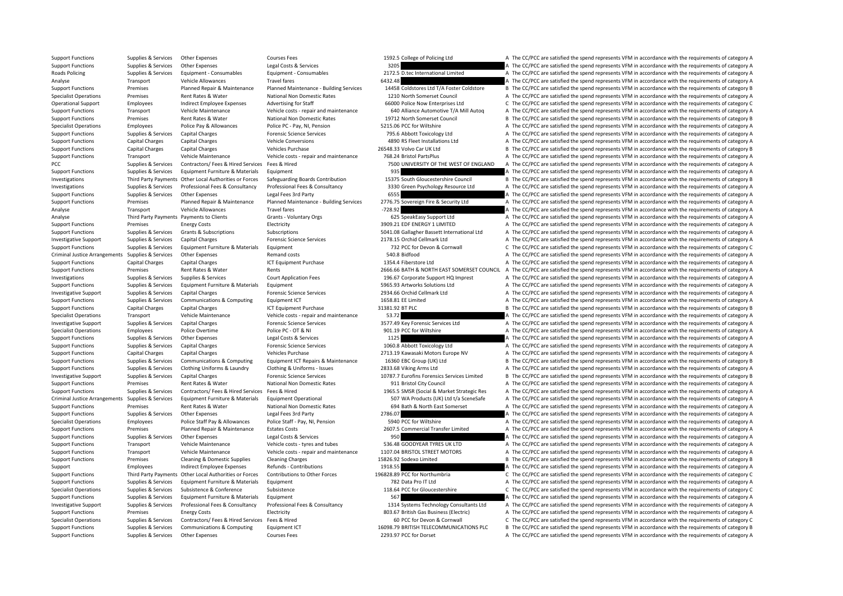Support Functions Supplies & Services Other Expenses Courses Fees 1592.5 College of Policing Ltd A The CC/PCC are satisfied the spend represents VFM in accordance with the requirements of category A Support Functions Supplies & Services Other Expenses Legal Costs & Services 3205 3205 A The CC/PCC are satisfied the spend represents VFM in accordance with the requirements of category A Roads Policing Supplies & Services Equipment • Consumables Equipment • Consumables 2172.5 D.tec International Limited A The CC/PCC are satisfied the spend represents VFM in accordance with the requirements of category A Analyse Transport Vehicle Allowances Travel fares Travel fares 6432.48 A The CC/PCC are satisfied the spend represents VFM in accordance with the requirements of category A Support Functions Premises Planned Repair & Maintenance Planned Maintenance - Building Services 14458 Coldstores 1 that CONStore B The CC/PCC are satisfied the spend represents VFM in accordance with the requirements of ca Specialist Operations Premises Rent Rates & Water National Non Domestic Rates 1210 North Somerset Council A The CC/PCC are satisfied the spend represents VFM in accordance with the requirements of category A Operational Support Employees Indirect Employee Expenses Advertising for Staff 66000 Police Now Enterprises Ltd C The CC/PCC are satisfied the spend represents VFM in accordance with the requirements of category C C No. 20 Support Functions Transport Vehicle Maintenance Vehicle costs - repair and maintenance 640 Alliance Automotive T/A Mill Autoq A The CC/PCC are satisfied the spend represents VFM in accordance with the requirements of categ Support Functions Premises Rent Rates & Water National Non Domestic Rates 19712 North Somerset Council B The CC/PCC are satisfied the spend represents VFM in accordance with the requirements of category B Specialist Operations Employees Police Pay & Allowances Police PC - Pay, NI, Pension 5215.06 PCC for Wiltshire A The CC/PCC are satisfied the spend represents VFM in accordance with the requirements of category A Support Functions Supplies & Services Capital Charges **Forensic Science Services** 795.6 Abbott Toxicology Itd A The CC/PCC are satisfied the spend represents VFM in accordance with the requirements of category A Support Functions Capital Charges Capital Charges Vehicle Conversions 4890 RS Fleet Installations Ltd A The CC/PCC are satisfied the spend represents VFM in accordance with the requirements of category A Support Functions Capital Charges Capital Charges Vehicles Purchase 26548.33 Volvo Car UK Ltd B The CC/PCC are satisfied the spend represents VFM in accordance with the requirements of category B Support Functions Transport Vehicle Maintenance Vehicle costs - repair and maintenance 768.24 Bristol PartsPlus A The CC/PCC are satisfied the spend represents VFM in accordance with the requirements of category A PCC Supplies & Services Contractors/ Fees & Hired Services Fees & Hired 7500 UNIVERSITY OF THE WEST OF ENGLAND A The CC/PCC are satisfied the spend represents VFM in accordance with the requirements of category A Support Functions Supplies & Services Equipment Furniture & Materials Equipment 935 935 A The CC/PCC are satisfied the spend represents VFM in accordance with the requirements of category A Investigations Third Party Payments Other Local Authorities or Forces Safeguarding Boards Contribution 15375 South Gloucestershire Council B The CC/PCC are satisfied the spend represents VFM in accordance with the requirem Investigations Supplies & Services Professional Fees & Consultancy Professional Fees & Consultancy Professional Fees & Consultancy Professional Fees & Consultancy 3330 Green Psychology Resource Ltd A The CC/PCC are satisfi Support Functions Supplies & Services Other Expenses Legal Fees 3rd Party 6555 6655 A The CC/PCC are satisfied the spend represents VFM in accordance with the requirements of category A Support Functions Premises Planned Repair & Maintenance Planned Maintenance - Building Services 2776.75 Sovereign Fire & Security Ltd A The CC/PCC are satisfied the spend represents VFM in accordance with the requirements Analyse **Transport** Vehicle Allowances **Travel fares Travel factor 1998.** The CC/PC are satisfied the spend represents VFM in accordance with the requirements of category A Analyse Third Party Payments Payments to Clients Grants - Voluntary Orgs 625 SpeakEasy Support Ltd A The CC/PCC are satisfied the spend represents VFM in accordance with the requirements of category A Support Functions Premises Energy Costs Electricity Electricity and Electricity and the Support Electricity and The CC/PCC are satisfied the spend represents VFM in accordance with the requirements of category A Support Functions Supplies & Services Grants & Subscriptions Subscriptions Subscriptions Subscriptions Subscriptions Subscriptions Subscriptions Subscriptions Subscriptions Subscriptions Subscriptions Subscriptions Subscri Investigative Support Supplies & Services Capital Charges Forensic Science Services Forensic Science Services 2178.15 Orchid Cellmark Ltd A The CC/PCC are satisfied the spend represents VFM in accordance with the requireme Support Functions Supplies & Services Equipment Furniture & Materials Equipment 732 PCC for Devon & Cornwall C The CC/PCC are satisfied the spend represents VFM in accordance with the requirements of category C Criminal Justice Arrangements Supplies & Services Other Expenses Remand costs 540.8 Bidfood 540.8 Bidfood A The CC/PCC are satisfied the spend represents VFM in accordance with the requirements of category A Support Functions Capital Charges Capital Charges ICT Equipment Purchase 1354.4 Fiberstore Ltd A The CC/PCC are satisfied the spend represents VFM in accordance with the requirements of category A Support Functions Premises Rent Rates & Water Rents Rents Rents Rents 2666.66 BATH & NORTH EAST SOMERSET COUNCIL A The CC/PCC are satisfied the spend represents VFM in accordance with the requirements of category A Investigations Supplies & Services Supplies & Services Court Application Fees 196.67 Corporate Support HQ Imprest A The CC/PCC are satisfied the spend represents VFM in accordance with the requirements of category A Support Functions Supplies & Services Equipment Furniture & Materials Equipment Services Equipment 5965.93 Artworks Solutions Ltd A The CC/PCC are satisfied the spend represents VFM in accordance with the requirements of c Investigative Support Supplies & Services Capital Charges Forensic Science Services 2934.66 Orchid Cellmark Ltd A The CC/PCC are satisfied the spend represents VFM in accordance with the requirements of category A Support Functions Supplies & Services Communications & Computing Equipment ICT 1658.81 EE Limited A The CC/PCC are satisfied the spend represents VFM in accordance with the requirements of category A Support Functions Capital Charges Capital Charges ICT Equipment Purchase 31381.92 BT PLC B The CC/PCC are satisfied the spend represents VFM in accordance with the requirements of category B Specialist Operations Transport Vehicle Maintenance Vehicle costs - repair and maintenance 53.72 A The CC/PCC are satisfied the spend represents VFM in accordance with the requirements of category A Investigative Support Supplies & Services Capital Charges Forensic Science Services 3577.49 Key Forensic Services Ltd A The CC/PCC are satisfied the spend represents VFM in accordance with the requirements of category A Specialist Operations Employees Police Overtime Police PC – OT & NI 901.19 PCC for Wiltshire A The CC/PCC are satisfied the spend represents VFM in accordance with the requirements of category A Support Functions Supplies & Services Other Expenses Legal Costs & Services 1125 1125 A The CC/PCC are satisfied the spend represents VFM in accordance with the requirements of category A Support Functions Supplies & Services Capital Charges Forensic Science Services 1060.8 Abbott Toxicology Ltd A The CC/PCC are satisfied the spend represents VFM in accordance with the requirements of category A Support Functions Capital Charges Capital Charges Vehicles Purchase Vehicles Purchase 2713.19 Kawasaki Motors Europe NV A The CC/PCC are satisfied the spend represents VFM in accordance with the requirements of category A Support Functions Supplies & Services Communications & Computing Equipment ICT Repairs & Maintenance 16360 EBC Group (UK) Ltd B The CC/PCC are satisfied the spend represents VFM in accordance with the requirements of categ Support Functions Supplies & Services Clothing Uniforms & Laundry Clothing & Uniforms - Issues 2833.68 Viking Arms Ltd A The CC/PCC are satisfied the spend represents VFM in accordance with the requirements of category A Investigative Support Supplies & Services Capital Charges Forensic Science Services Forensic Science Support Supporters Capital Charges Forensic Science Services in the CONST.7 Eurofins Forensics Services Law and B The CC/ Support Functions Premises Rent Rates & Water National Non Domestic Rates 911 Bristol City Council A The CC/PCC are satisfied the spend represents VFM in accordance with the requirements of category A Support Functions Supplies & Services Contractors/ Fees & Hired Services Fees & Hired Services Fees & Hired Services Fees & Hired Services Fees & Hired Services Fees & Hired Services Fees & Hired Services Fees & Hired Serv Criminal Justice Arrangements Supplies & Services Equipment Furniture & Materials Equipment Operational 507 WA Products (UK) Ltd t/a SceneSafe A The CC/PCC are satisfied the spend represents VFM in accordance with the requ Support Functions Premises Rent Rates & Water National Non Domestic Rates 694 Bath & North East Somerset A The CC/PCC are satisfied the spend represents VFM in accordance with the requirements of category A Support Functions Supplies & Services Other Expenses Legal Fees 3rd Party 2786.07 2786.07 A The CC/PCC are satisfied the spend represents VFM in accordance with the requirements of category A Specialist Operations Employees Police Staff Pay & Allowances Police Staff - Pay, NI, Pension 5940 PCC for Wiltshire A The CC/PCC are satisfied the spend represents VFM in accordance with the requirements of category A Support Functions Premises Planned Repair & Maintenance Estates Costs 2607.5 Commercial Transfer Limited A The CC/PCC are satisfied the spend represents VFM in accordance with the requirements of category A Support Functions Supplies & Services Other Expenses Legal Costs & Services Legal Costs & Services Legal Costs & Services 950 BC CAN DESCRIPTION A The CC/PCC are satisfied the spend represents VFM in accordance with the re Support Functions Transport Vehicle Maintenance Vehicle costs - tyres and tubes 536.48 GOODYEAR TYRES UK LTD A The CC/PCC are satisfied the spend represents VFM in accordance with the requirements of category A Support Functions Transport Vehicle Maintenance Vehicle costs - repair and maintenance 1107.04 BRISTOL STREET MOTORS A The CC/PCC are satisfied the spend represents VFM in accordance with the requirements of category A Support Functions Premises Cleaning & Domestic Supplies Cleaning Charges 15826.92 Sodexo Limited B The CC/PCC are satisfied the spend represents VFM in accordance with the requirements of category B Support Employees Indirect Employee Expenses Refunds - Contributions 1918.55 A The CC/PCC are satisfied the spend represents VFM in accordance with the requirements of category A Support Functions Third Party Payments Other Local Authorities or Forces Contributions to Other Forces 196828.89 PCC for Northumbria C The CC/PCC are satisfied the spend represents VFM in accordance with the requirements o Support Functions Supplies & Services Equipment Furniture & Materials Equipment Furniture & Materials Equipment 100 CON TELL A The CC/PCC are satisfied the spend represents VFM in accordance with the requirements of catego Specialist Operations Supplies & Services Subsistence & Conference Subsistence Subsistence 118.64 PCC for Gloucestershire C The CC/PCC are satisfied the spend represents VFM in accordance with the requirements of category Support Functions Supplies & Services Equipment Furniture & Materials Equipment Support Furniture & Materials Equipment Support 567 A The CC/PCC are satisfied the spend represents VFM in accordance with the requirements of Investigative Support Supplies & Services Professional Fees & Consultancy Professional Fees & Consultancy Professional Fees & Consultancy Professional Fees & Consultancy Professional Fees & Consultancy 1314 Systems Technol Support Functions Premises Energy Costs Electricity Electricity Electricity 803.67 British Gas Business (Electricity A The CC/PCC are satisfied the spend represents VFM in accordance with the requirements of category A Specialist Operations Supplies & Services Contractors/ Fees & Hired Services Fees & Hired 60 PCC for Devon & Cornwall C The CC/PCC are satisfied the spend represents VFM in accordance with the requirements of category C Support Functions Supplies & Services Communications & Computing Equipment ICT 16098.79 BRITISH TELECOMMUNICATIONS PLC B The CC/PCC are satisfied the spend represents VFM in accordance with the requirements of category B Support Functions Supplies & Services Other Expenses Courses Fees 2293.97 PCC for Dorset A The CC/PCC are satisfied the spend represents VFM in accordance with the requirements of category A